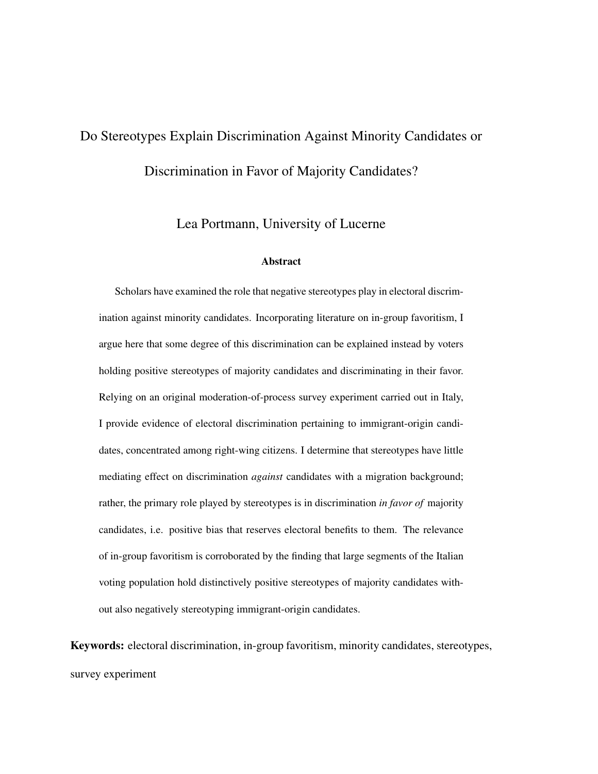# <span id="page-0-0"></span>Do Stereotypes Explain Discrimination Against Minority Candidates or Discrimination in Favor of Majority Candidates?

Lea Portmann, University of Lucerne

#### Abstract

Scholars have examined the role that negative stereotypes play in electoral discrimination against minority candidates. Incorporating literature on in-group favoritism, I argue here that some degree of this discrimination can be explained instead by voters holding positive stereotypes of majority candidates and discriminating in their favor. Relying on an original moderation-of-process survey experiment carried out in Italy, I provide evidence of electoral discrimination pertaining to immigrant-origin candidates, concentrated among right-wing citizens. I determine that stereotypes have little mediating effect on discrimination *against* candidates with a migration background; rather, the primary role played by stereotypes is in discrimination *in favor of* majority candidates, i.e. positive bias that reserves electoral benefits to them. The relevance of in-group favoritism is corroborated by the finding that large segments of the Italian voting population hold distinctively positive stereotypes of majority candidates without also negatively stereotyping immigrant-origin candidates.

Keywords: electoral discrimination, in-group favoritism, minority candidates, stereotypes, survey experiment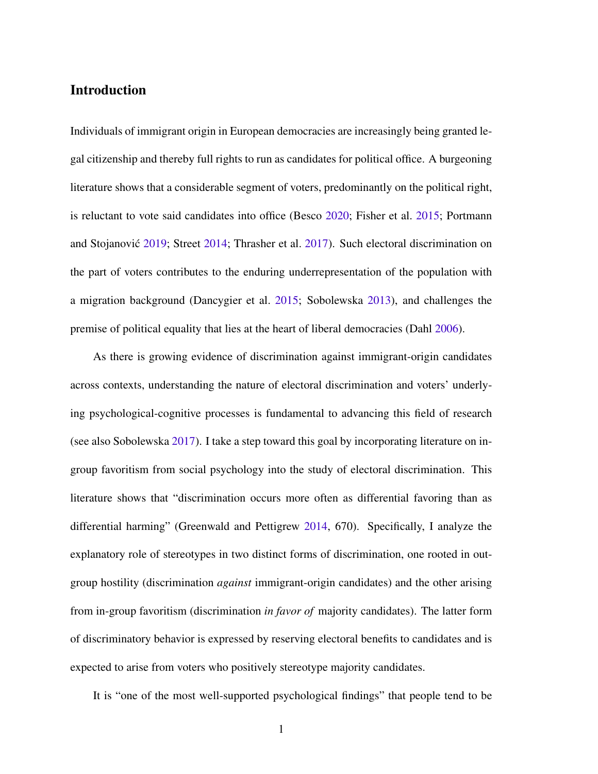# Introduction

Individuals of immigrant origin in European democracies are increasingly being granted legal citizenship and thereby full rights to run as candidates for political office. A burgeoning literature shows that a considerable segment of voters, predominantly on the political right, is reluctant to vote said candidates into office (Besco [2020;](#page-36-0) Fisher et al. [2015;](#page-38-0) Portmann and Stojanović [2019;](#page-41-0) Street [2014;](#page-43-0) Thrasher et al. [2017\)](#page-43-1). Such electoral discrimination on the part of voters contributes to the enduring underrepresentation of the population with a migration background (Dancygier et al. [2015;](#page-37-0) Sobolewska [2013\)](#page-42-0), and challenges the premise of political equality that lies at the heart of liberal democracies (Dahl [2006\)](#page-37-1).

As there is growing evidence of discrimination against immigrant-origin candidates across contexts, understanding the nature of electoral discrimination and voters' underlying psychological-cognitive processes is fundamental to advancing this field of research (see also Sobolewska [2017\)](#page-42-1). I take a step toward this goal by incorporating literature on ingroup favoritism from social psychology into the study of electoral discrimination. This literature shows that "discrimination occurs more often as differential favoring than as differential harming" (Greenwald and Pettigrew [2014,](#page-38-1) 670). Specifically, I analyze the explanatory role of stereotypes in two distinct forms of discrimination, one rooted in outgroup hostility (discrimination *against* immigrant-origin candidates) and the other arising from in-group favoritism (discrimination *in favor of* majority candidates). The latter form of discriminatory behavior is expressed by reserving electoral benefits to candidates and is expected to arise from voters who positively stereotype majority candidates.

It is "one of the most well-supported psychological findings" that people tend to be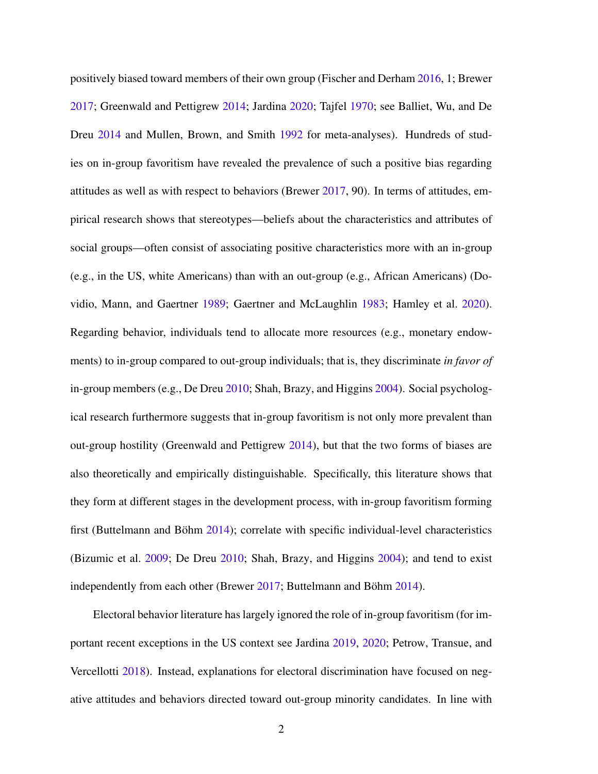positively biased toward members of their own group (Fischer and Derham [2016,](#page-38-2) 1; Brewer [2017;](#page-36-1) Greenwald and Pettigrew [2014;](#page-38-1) Jardina [2020;](#page-39-0) Tajfel [1970;](#page-43-2) see Balliet, Wu, and De Dreu [2014](#page-35-0) and Mullen, Brown, and Smith [1992](#page-41-1) for meta-analyses). Hundreds of studies on in-group favoritism have revealed the prevalence of such a positive bias regarding attitudes as well as with respect to behaviors (Brewer [2017,](#page-36-1) 90). In terms of attitudes, empirical research shows that stereotypes—beliefs about the characteristics and attributes of social groups—often consist of associating positive characteristics more with an in-group (e.g., in the US, white Americans) than with an out-group (e.g., African Americans) (Dovidio, Mann, and Gaertner [1989;](#page-38-3) Gaertner and McLaughlin [1983;](#page-38-4) Hamley et al. [2020\)](#page-39-1). Regarding behavior, individuals tend to allocate more resources (e.g., monetary endowments) to in-group compared to out-group individuals; that is, they discriminate *in favor of* in-group members (e.g., De Dreu [2010;](#page-37-2) Shah, Brazy, and Higgins [2004\)](#page-42-2). Social psychological research furthermore suggests that in-group favoritism is not only more prevalent than out-group hostility (Greenwald and Pettigrew [2014\)](#page-38-1), but that the two forms of biases are also theoretically and empirically distinguishable. Specifically, this literature shows that they form at different stages in the development process, with in-group favoritism forming first (Buttelmann and Böhm  $2014$ ); correlate with specific individual-level characteristics (Bizumic et al. [2009;](#page-36-2) De Dreu [2010;](#page-37-2) Shah, Brazy, and Higgins [2004\)](#page-42-2); and tend to exist independently from each other (Brewer [2017;](#page-36-1) Buttelmann and Böhm [2014\)](#page-37-3).

Electoral behavior literature has largely ignored the role of in-group favoritism (for important recent exceptions in the US context see Jardina [2019,](#page-39-2) [2020;](#page-39-0) Petrow, Transue, and Vercellotti [2018\)](#page-41-2). Instead, explanations for electoral discrimination have focused on negative attitudes and behaviors directed toward out-group minority candidates. In line with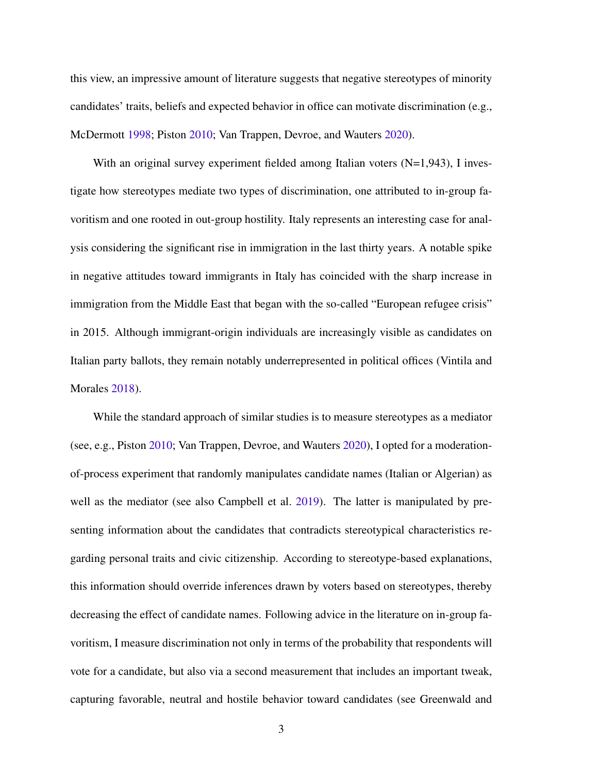this view, an impressive amount of literature suggests that negative stereotypes of minority candidates' traits, beliefs and expected behavior in office can motivate discrimination (e.g., McDermott [1998;](#page-40-0) Piston [2010;](#page-41-3) Van Trappen, Devroe, and Wauters [2020\)](#page-43-3).

With an original survey experiment fielded among Italian voters  $(N=1,943)$ , I investigate how stereotypes mediate two types of discrimination, one attributed to in-group favoritism and one rooted in out-group hostility. Italy represents an interesting case for analysis considering the significant rise in immigration in the last thirty years. A notable spike in negative attitudes toward immigrants in Italy has coincided with the sharp increase in immigration from the Middle East that began with the so-called "European refugee crisis" in 2015. Although immigrant-origin individuals are increasingly visible as candidates on Italian party ballots, they remain notably underrepresented in political offices (Vintila and Morales [2018\)](#page-43-4).

While the standard approach of similar studies is to measure stereotypes as a mediator (see, e.g., Piston [2010;](#page-41-3) Van Trappen, Devroe, and Wauters [2020\)](#page-43-3), I opted for a moderationof-process experiment that randomly manipulates candidate names (Italian or Algerian) as well as the mediator (see also Campbell et al. [2019\)](#page-37-4). The latter is manipulated by presenting information about the candidates that contradicts stereotypical characteristics regarding personal traits and civic citizenship. According to stereotype-based explanations, this information should override inferences drawn by voters based on stereotypes, thereby decreasing the effect of candidate names. Following advice in the literature on in-group favoritism, I measure discrimination not only in terms of the probability that respondents will vote for a candidate, but also via a second measurement that includes an important tweak, capturing favorable, neutral and hostile behavior toward candidates (see Greenwald and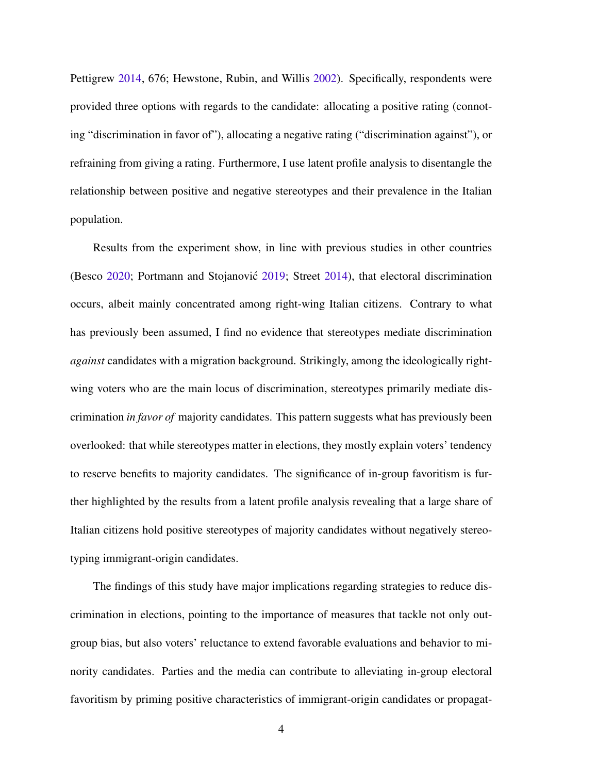Pettigrew [2014,](#page-38-1) 676; Hewstone, Rubin, and Willis [2002\)](#page-39-3). Specifically, respondents were provided three options with regards to the candidate: allocating a positive rating (connoting "discrimination in favor of"), allocating a negative rating ("discrimination against"), or refraining from giving a rating. Furthermore, I use latent profile analysis to disentangle the relationship between positive and negative stereotypes and their prevalence in the Italian population.

Results from the experiment show, in line with previous studies in other countries (Besco [2020;](#page-36-0) Portmann and Stojanovic´ [2019;](#page-41-0) Street [2014\)](#page-43-0), that electoral discrimination occurs, albeit mainly concentrated among right-wing Italian citizens. Contrary to what has previously been assumed, I find no evidence that stereotypes mediate discrimination *against* candidates with a migration background. Strikingly, among the ideologically rightwing voters who are the main locus of discrimination, stereotypes primarily mediate discrimination *in favor of* majority candidates. This pattern suggests what has previously been overlooked: that while stereotypes matter in elections, they mostly explain voters' tendency to reserve benefits to majority candidates. The significance of in-group favoritism is further highlighted by the results from a latent profile analysis revealing that a large share of Italian citizens hold positive stereotypes of majority candidates without negatively stereotyping immigrant-origin candidates.

The findings of this study have major implications regarding strategies to reduce discrimination in elections, pointing to the importance of measures that tackle not only outgroup bias, but also voters' reluctance to extend favorable evaluations and behavior to minority candidates. Parties and the media can contribute to alleviating in-group electoral favoritism by priming positive characteristics of immigrant-origin candidates or propagat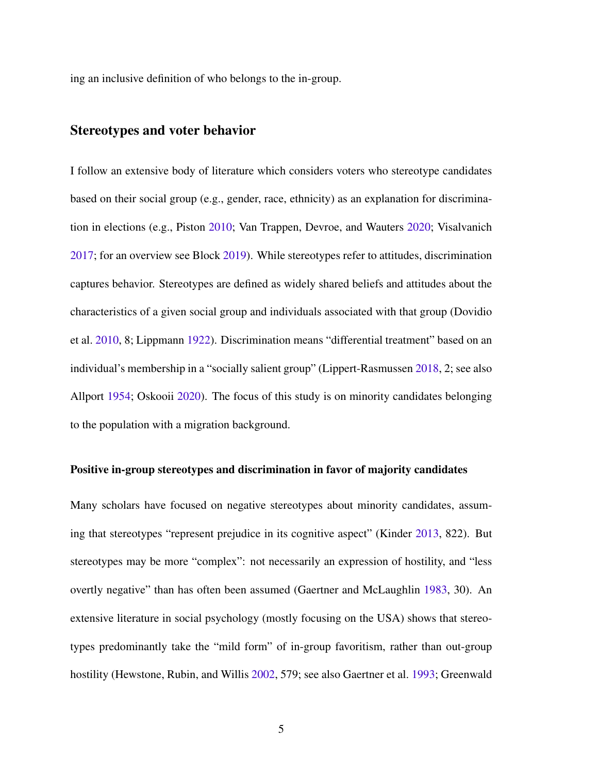ing an inclusive definition of who belongs to the in-group.

# Stereotypes and voter behavior

I follow an extensive body of literature which considers voters who stereotype candidates based on their social group (e.g., gender, race, ethnicity) as an explanation for discrimination in elections (e.g., Piston [2010;](#page-41-3) Van Trappen, Devroe, and Wauters [2020;](#page-43-3) Visalvanich [2017;](#page-43-5) for an overview see Block [2019\)](#page-36-3). While stereotypes refer to attitudes, discrimination captures behavior. Stereotypes are defined as widely shared beliefs and attitudes about the characteristics of a given social group and individuals associated with that group (Dovidio et al. [2010,](#page-37-5) 8; Lippmann [1922\)](#page-40-1). Discrimination means "differential treatment" based on an individual's membership in a "socially salient group" (Lippert-Rasmussen [2018,](#page-40-2) 2; see also Allport [1954;](#page-35-1) Oskooii [2020\)](#page-41-4). The focus of this study is on minority candidates belonging to the population with a migration background.

#### Positive in-group stereotypes and discrimination in favor of majority candidates

Many scholars have focused on negative stereotypes about minority candidates, assuming that stereotypes "represent prejudice in its cognitive aspect" (Kinder [2013,](#page-40-3) 822). But stereotypes may be more "complex": not necessarily an expression of hostility, and "less overtly negative" than has often been assumed (Gaertner and McLaughlin [1983,](#page-38-4) 30). An extensive literature in social psychology (mostly focusing on the USA) shows that stereotypes predominantly take the "mild form" of in-group favoritism, rather than out-group hostility (Hewstone, Rubin, and Willis [2002,](#page-39-3) 579; see also Gaertner et al. [1993;](#page-38-5) Greenwald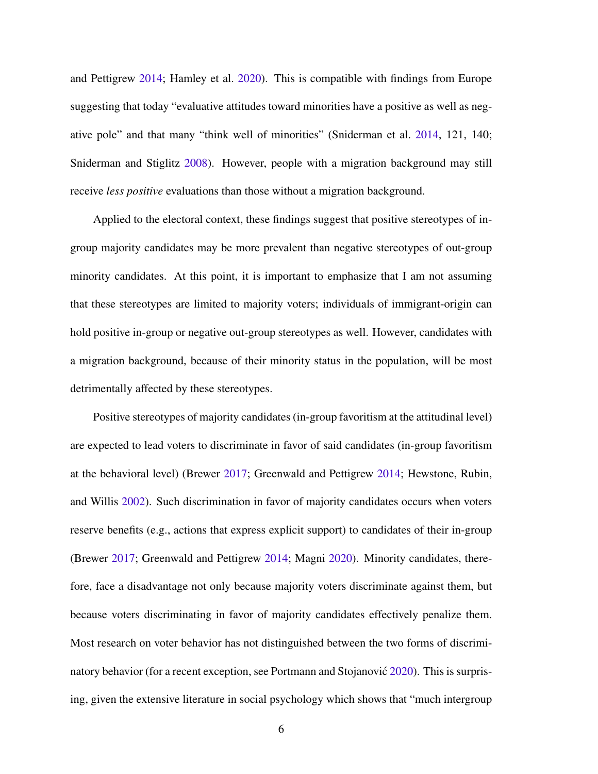and Pettigrew [2014;](#page-38-1) Hamley et al. [2020\)](#page-39-1). This is compatible with findings from Europe suggesting that today "evaluative attitudes toward minorities have a positive as well as negative pole" and that many "think well of minorities" (Sniderman et al. [2014,](#page-42-3) 121, 140; Sniderman and Stiglitz [2008\)](#page-42-4). However, people with a migration background may still receive *less positive* evaluations than those without a migration background.

Applied to the electoral context, these findings suggest that positive stereotypes of ingroup majority candidates may be more prevalent than negative stereotypes of out-group minority candidates. At this point, it is important to emphasize that I am not assuming that these stereotypes are limited to majority voters; individuals of immigrant-origin can hold positive in-group or negative out-group stereotypes as well. However, candidates with a migration background, because of their minority status in the population, will be most detrimentally affected by these stereotypes.

Positive stereotypes of majority candidates (in-group favoritism at the attitudinal level) are expected to lead voters to discriminate in favor of said candidates (in-group favoritism at the behavioral level) (Brewer [2017;](#page-36-1) Greenwald and Pettigrew [2014;](#page-38-1) Hewstone, Rubin, and Willis [2002\)](#page-39-3). Such discrimination in favor of majority candidates occurs when voters reserve benefits (e.g., actions that express explicit support) to candidates of their in-group (Brewer [2017;](#page-36-1) Greenwald and Pettigrew [2014;](#page-38-1) Magni [2020\)](#page-40-4). Minority candidates, therefore, face a disadvantage not only because majority voters discriminate against them, but because voters discriminating in favor of majority candidates effectively penalize them. Most research on voter behavior has not distinguished between the two forms of discrimi-natory behavior (for a recent exception, see Portmann and Stojanović [2020\)](#page-42-5). This is surprising, given the extensive literature in social psychology which shows that "much intergroup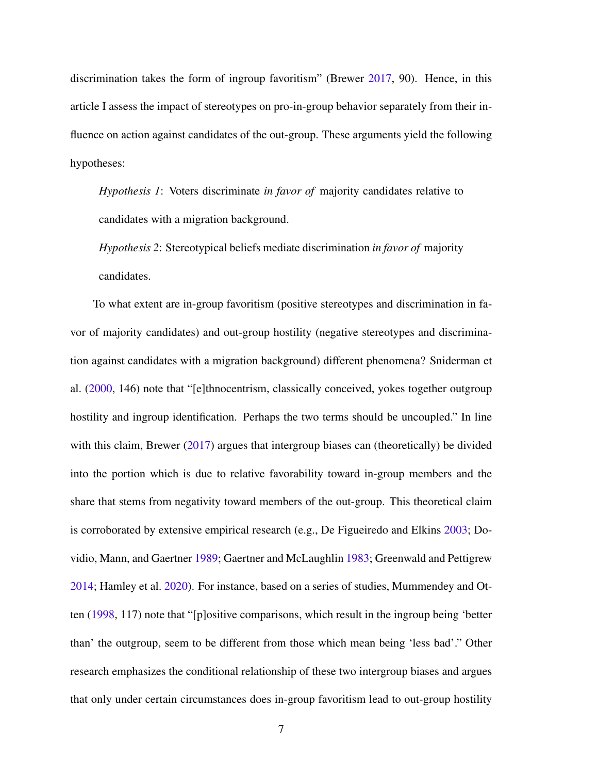discrimination takes the form of ingroup favoritism" (Brewer [2017,](#page-36-1) 90). Hence, in this article I assess the impact of stereotypes on pro-in-group behavior separately from their influence on action against candidates of the out-group. These arguments yield the following hypotheses:

*Hypothesis 1*: Voters discriminate *in favor of* majority candidates relative to candidates with a migration background.

*Hypothesis 2*: Stereotypical beliefs mediate discrimination *in favor of* majority candidates.

To what extent are in-group favoritism (positive stereotypes and discrimination in favor of majority candidates) and out-group hostility (negative stereotypes and discrimination against candidates with a migration background) different phenomena? Sniderman et al. [\(2000,](#page-42-6) 146) note that "[e]thnocentrism, classically conceived, yokes together outgroup hostility and ingroup identification. Perhaps the two terms should be uncoupled." In line with this claim, Brewer [\(2017\)](#page-36-1) argues that intergroup biases can (theoretically) be divided into the portion which is due to relative favorability toward in-group members and the share that stems from negativity toward members of the out-group. This theoretical claim is corroborated by extensive empirical research (e.g., De Figueiredo and Elkins [2003;](#page-37-6) Dovidio, Mann, and Gaertner [1989;](#page-38-3) Gaertner and McLaughlin [1983;](#page-38-4) Greenwald and Pettigrew [2014;](#page-38-1) Hamley et al. [2020\)](#page-39-1). For instance, based on a series of studies, Mummendey and Otten [\(1998,](#page-41-5) 117) note that "[p]ositive comparisons, which result in the ingroup being 'better than' the outgroup, seem to be different from those which mean being 'less bad'." Other research emphasizes the conditional relationship of these two intergroup biases and argues that only under certain circumstances does in-group favoritism lead to out-group hostility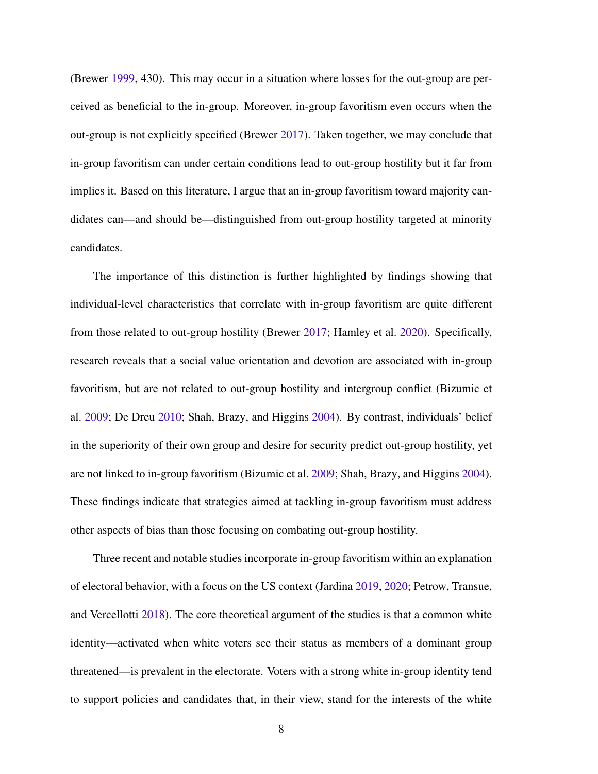(Brewer [1999,](#page-36-4) 430). This may occur in a situation where losses for the out-group are perceived as beneficial to the in-group. Moreover, in-group favoritism even occurs when the out-group is not explicitly specified (Brewer [2017\)](#page-36-1). Taken together, we may conclude that in-group favoritism can under certain conditions lead to out-group hostility but it far from implies it. Based on this literature, I argue that an in-group favoritism toward majority candidates can—and should be—distinguished from out-group hostility targeted at minority candidates.

The importance of this distinction is further highlighted by findings showing that individual-level characteristics that correlate with in-group favoritism are quite different from those related to out-group hostility (Brewer [2017;](#page-36-1) Hamley et al. [2020\)](#page-39-1). Specifically, research reveals that a social value orientation and devotion are associated with in-group favoritism, but are not related to out-group hostility and intergroup conflict (Bizumic et al. [2009;](#page-36-2) De Dreu [2010;](#page-37-2) Shah, Brazy, and Higgins [2004\)](#page-42-2). By contrast, individuals' belief in the superiority of their own group and desire for security predict out-group hostility, yet are not linked to in-group favoritism (Bizumic et al. [2009;](#page-36-2) Shah, Brazy, and Higgins [2004\)](#page-42-2). These findings indicate that strategies aimed at tackling in-group favoritism must address other aspects of bias than those focusing on combating out-group hostility.

Three recent and notable studies incorporate in-group favoritism within an explanation of electoral behavior, with a focus on the US context (Jardina [2019,](#page-39-2) [2020;](#page-39-0) Petrow, Transue, and Vercellotti [2018\)](#page-41-2). The core theoretical argument of the studies is that a common white identity—activated when white voters see their status as members of a dominant group threatened—is prevalent in the electorate. Voters with a strong white in-group identity tend to support policies and candidates that, in their view, stand for the interests of the white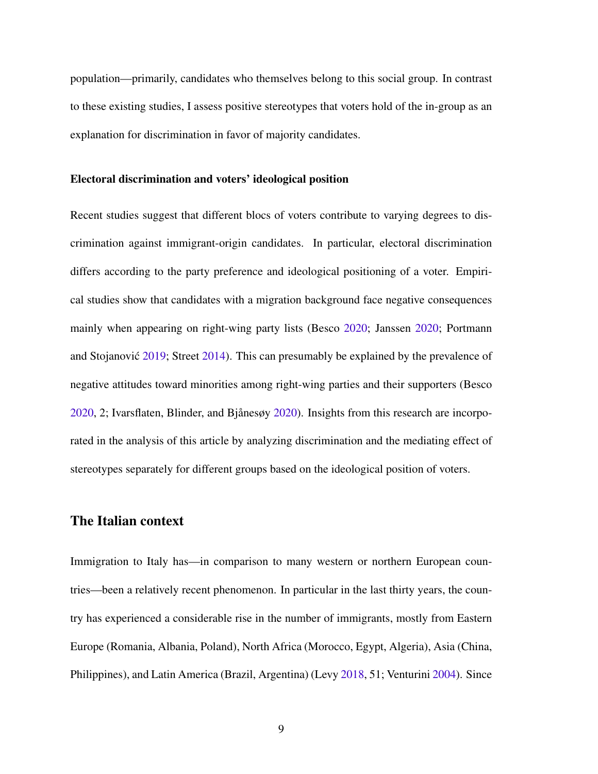population—primarily, candidates who themselves belong to this social group. In contrast to these existing studies, I assess positive stereotypes that voters hold of the in-group as an explanation for discrimination in favor of majority candidates.

#### Electoral discrimination and voters' ideological position

Recent studies suggest that different blocs of voters contribute to varying degrees to discrimination against immigrant-origin candidates. In particular, electoral discrimination differs according to the party preference and ideological positioning of a voter. Empirical studies show that candidates with a migration background face negative consequences mainly when appearing on right-wing party lists (Besco [2020;](#page-36-0) Janssen [2020;](#page-39-4) Portmann and Stojanović [2019;](#page-41-0) Street [2014\)](#page-43-0). This can presumably be explained by the prevalence of negative attitudes toward minorities among right-wing parties and their supporters (Besco  $2020$ , 2; Ivarsflaten, Blinder, and Bjånesøy  $2020$ ). Insights from this research are incorporated in the analysis of this article by analyzing discrimination and the mediating effect of stereotypes separately for different groups based on the ideological position of voters.

# The Italian context

Immigration to Italy has—in comparison to many western or northern European countries—been a relatively recent phenomenon. In particular in the last thirty years, the country has experienced a considerable rise in the number of immigrants, mostly from Eastern Europe (Romania, Albania, Poland), North Africa (Morocco, Egypt, Algeria), Asia (China, Philippines), and Latin America (Brazil, Argentina) (Levy [2018,](#page-40-5) 51; Venturini [2004\)](#page-43-6). Since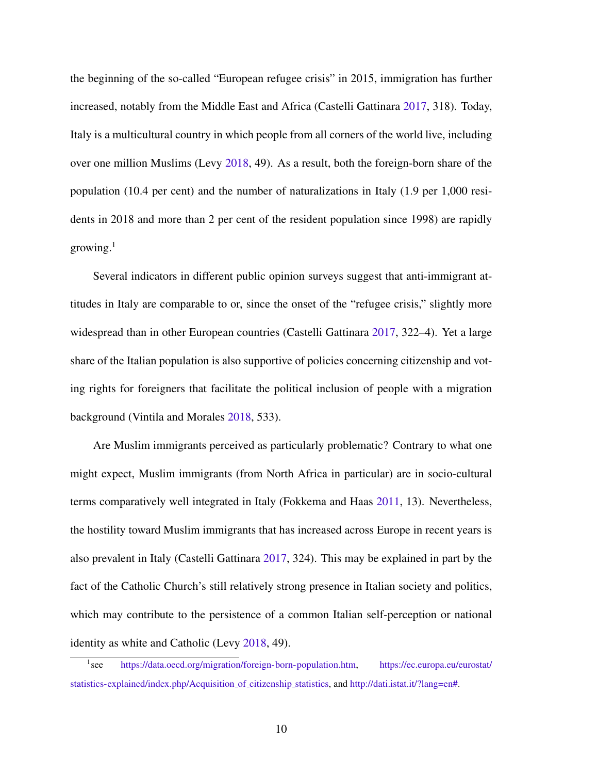the beginning of the so-called "European refugee crisis" in 2015, immigration has further increased, notably from the Middle East and Africa (Castelli Gattinara [2017,](#page-37-7) 318). Today, Italy is a multicultural country in which people from all corners of the world live, including over one million Muslims (Levy [2018,](#page-40-5) 49). As a result, both the foreign-born share of the population (10.4 per cent) and the number of naturalizations in Italy (1.9 per 1,000 residents in 2018 and more than 2 per cent of the resident population since 1998) are rapidly growing. $1$ 

Several indicators in different public opinion surveys suggest that anti-immigrant attitudes in Italy are comparable to or, since the onset of the "refugee crisis," slightly more widespread than in other European countries (Castelli Gattinara [2017,](#page-37-7) 322–4). Yet a large share of the Italian population is also supportive of policies concerning citizenship and voting rights for foreigners that facilitate the political inclusion of people with a migration background (Vintila and Morales [2018,](#page-43-4) 533).

Are Muslim immigrants perceived as particularly problematic? Contrary to what one might expect, Muslim immigrants (from North Africa in particular) are in socio-cultural terms comparatively well integrated in Italy (Fokkema and Haas [2011,](#page-38-6) 13). Nevertheless, the hostility toward Muslim immigrants that has increased across Europe in recent years is also prevalent in Italy (Castelli Gattinara [2017,](#page-37-7) 324). This may be explained in part by the fact of the Catholic Church's still relatively strong presence in Italian society and politics, which may contribute to the persistence of a common Italian self-perception or national identity as white and Catholic (Levy [2018,](#page-40-5) 49).

 $1$ <sub>see</sub> [https://data.oecd.org/migration/foreign-born-population.htm,](https://data.oecd.org/migration/foreign-born-population.htm) [https://ec.europa.eu/eurostat/](https://ec.europa.eu/eurostat/statistics-explained/index.php/Acquisition_of_citizenship_statistics) [statistics-explained/index.php/Acquisition](https://ec.europa.eu/eurostat/statistics-explained/index.php/Acquisition_of_citizenship_statistics) of citizenship statistics, and [http://dati.istat.it/?lang=en#.](http://dati.istat.it/?lang=en##)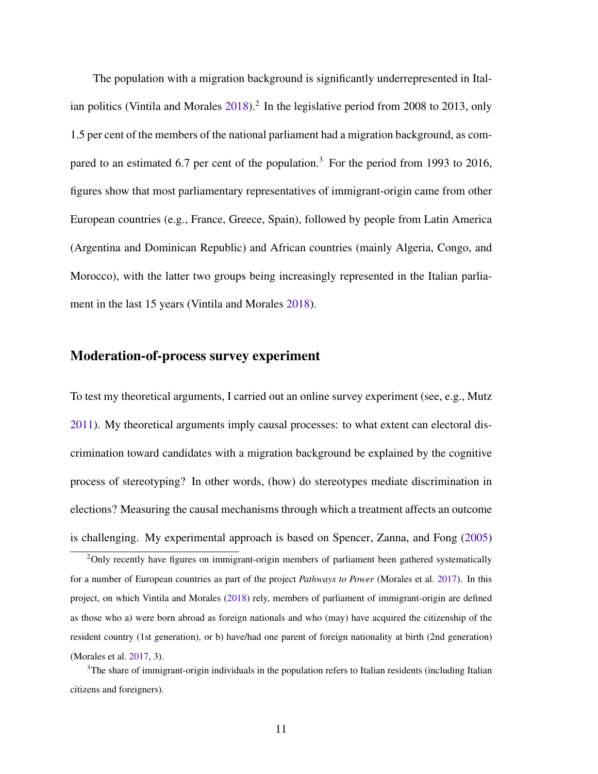The population with a migration background is significantly underrepresented in Ital-ian politics (Vintila and Morales [2018\)](#page-43-4).<sup>[2](#page-0-0)</sup> In the legislative period from 2008 to 2013, only 1.5 per cent of the members of the national parliament had a migration background, as com-pared to an estimated 6.7 per cent of the population.<sup>[3](#page-0-0)</sup> For the period from 1993 to 2016, figures show that most parliamentary representatives of immigrant-origin came from other European countries (e.g., France, Greece, Spain), followed by people from Latin America (Argentina and Dominican Republic) and African countries (mainly Algeria, Congo, and Morocco), with the latter two groups being increasingly represented in the Italian parliament in the last 15 years (Vintila and Morales [2018\)](#page-43-4).

## Moderation-of-process survey experiment

To test my theoretical arguments, I carried out an online survey experiment (see, e.g., Mutz [2011\)](#page-41-6). My theoretical arguments imply causal processes: to what extent can electoral discrimination toward candidates with a migration background be explained by the cognitive process of stereotyping? In other words, (how) do stereotypes mediate discrimination in elections? Measuring the causal mechanisms through which a treatment affects an outcome is challenging. My experimental approach is based on Spencer, Zanna, and Fong [\(2005\)](#page-43-7)

<sup>&</sup>lt;sup>2</sup>Only recently have figures on immigrant-origin members of parliament been gathered systematically for a number of European countries as part of the project *Pathways to Power* (Morales et al. [2017\)](#page-40-6). In this project, on which Vintila and Morales [\(2018\)](#page-43-4) rely, members of parliament of immigrant-origin are defined as those who a) were born abroad as foreign nationals and who (may) have acquired the citizenship of the resident country (1st generation), or b) have/had one parent of foreign nationality at birth (2nd generation) (Morales et al. [2017,](#page-40-6) 3).

<sup>&</sup>lt;sup>3</sup>The share of immigrant-origin individuals in the population refers to Italian residents (including Italian citizens and foreigners).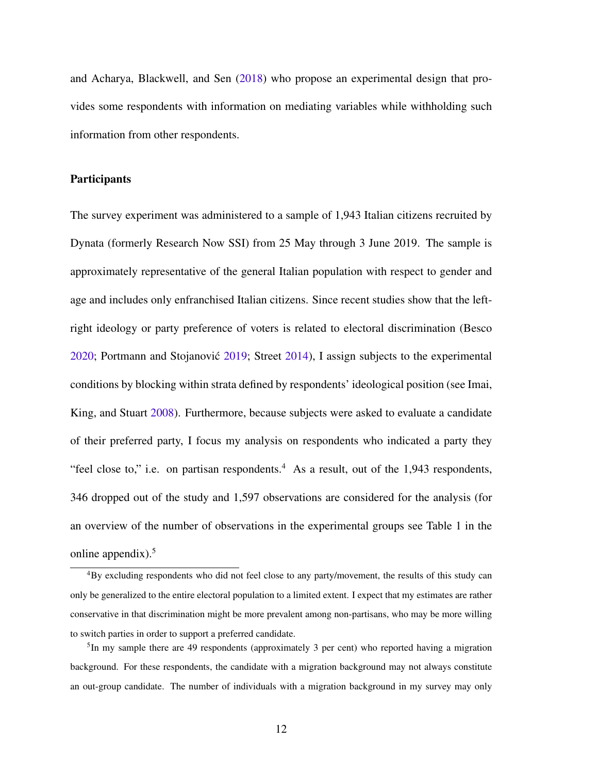and Acharya, Blackwell, and Sen [\(2018\)](#page-35-2) who propose an experimental design that provides some respondents with information on mediating variables while withholding such information from other respondents.

## **Participants**

The survey experiment was administered to a sample of 1,943 Italian citizens recruited by Dynata (formerly Research Now SSI) from 25 May through 3 June 2019. The sample is approximately representative of the general Italian population with respect to gender and age and includes only enfranchised Italian citizens. Since recent studies show that the leftright ideology or party preference of voters is related to electoral discrimination (Besco [2020;](#page-36-0) Portmann and Stojanovic´ [2019;](#page-41-0) Street [2014\)](#page-43-0), I assign subjects to the experimental conditions by blocking within strata defined by respondents' ideological position (see Imai, King, and Stuart [2008\)](#page-39-6). Furthermore, because subjects were asked to evaluate a candidate of their preferred party, I focus my analysis on respondents who indicated a party they "feel close to," i.e. on partisan respondents.<sup>[4](#page-0-0)</sup> As a result, out of the 1,943 respondents, 346 dropped out of the study and 1,597 observations are considered for the analysis (for an overview of the number of observations in the experimental groups see Table 1 in the online appendix). $5$ 

<sup>4</sup>By excluding respondents who did not feel close to any party/movement, the results of this study can only be generalized to the entire electoral population to a limited extent. I expect that my estimates are rather conservative in that discrimination might be more prevalent among non-partisans, who may be more willing to switch parties in order to support a preferred candidate.

<sup>&</sup>lt;sup>5</sup>In my sample there are 49 respondents (approximately 3 per cent) who reported having a migration background. For these respondents, the candidate with a migration background may not always constitute an out-group candidate. The number of individuals with a migration background in my survey may only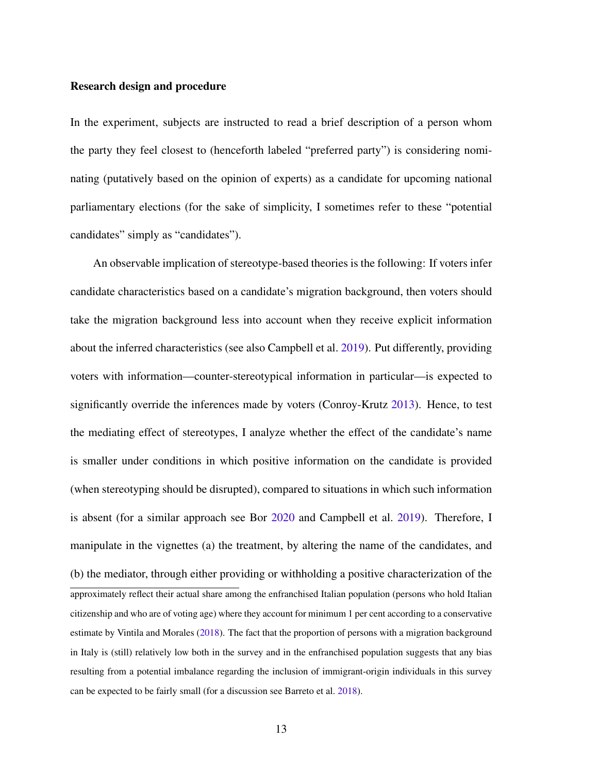#### Research design and procedure

In the experiment, subjects are instructed to read a brief description of a person whom the party they feel closest to (henceforth labeled "preferred party") is considering nominating (putatively based on the opinion of experts) as a candidate for upcoming national parliamentary elections (for the sake of simplicity, I sometimes refer to these "potential candidates" simply as "candidates").

An observable implication of stereotype-based theories is the following: If voters infer candidate characteristics based on a candidate's migration background, then voters should take the migration background less into account when they receive explicit information about the inferred characteristics (see also Campbell et al. [2019\)](#page-37-4). Put differently, providing voters with information—counter-stereotypical information in particular—is expected to significantly override the inferences made by voters (Conroy-Krutz [2013\)](#page-37-8). Hence, to test the mediating effect of stereotypes, I analyze whether the effect of the candidate's name is smaller under conditions in which positive information on the candidate is provided (when stereotyping should be disrupted), compared to situations in which such information is absent (for a similar approach see Bor [2020](#page-36-5) and Campbell et al. [2019\)](#page-37-4). Therefore, I manipulate in the vignettes (a) the treatment, by altering the name of the candidates, and (b) the mediator, through either providing or withholding a positive characterization of the approximately reflect their actual share among the enfranchised Italian population (persons who hold Italian citizenship and who are of voting age) where they account for minimum 1 per cent according to a conservative estimate by Vintila and Morales [\(2018\)](#page-43-4). The fact that the proportion of persons with a migration background in Italy is (still) relatively low both in the survey and in the enfranchised population suggests that any bias resulting from a potential imbalance regarding the inclusion of immigrant-origin individuals in this survey can be expected to be fairly small (for a discussion see Barreto et al. [2018\)](#page-36-6).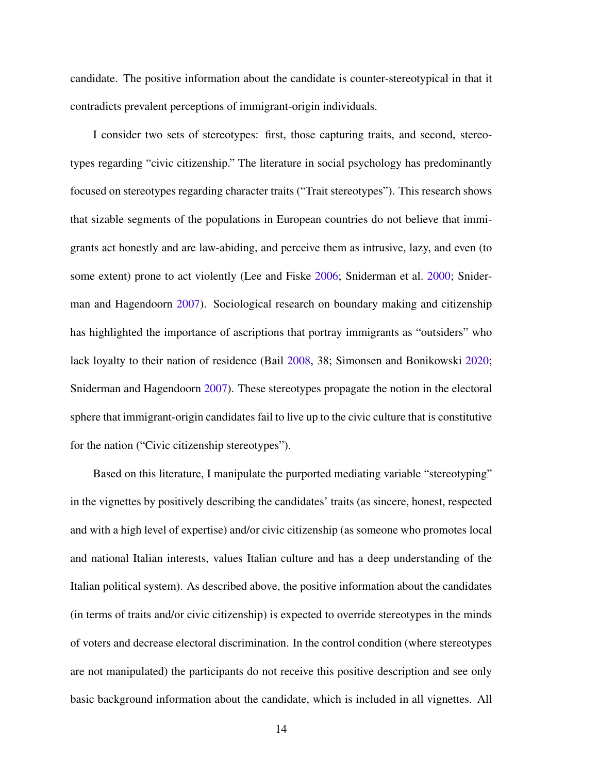candidate. The positive information about the candidate is counter-stereotypical in that it contradicts prevalent perceptions of immigrant-origin individuals.

I consider two sets of stereotypes: first, those capturing traits, and second, stereotypes regarding "civic citizenship." The literature in social psychology has predominantly focused on stereotypes regarding character traits ("Trait stereotypes"). This research shows that sizable segments of the populations in European countries do not believe that immigrants act honestly and are law-abiding, and perceive them as intrusive, lazy, and even (to some extent) prone to act violently (Lee and Fiske [2006;](#page-40-7) Sniderman et al. [2000;](#page-42-6) Sniderman and Hagendoorn [2007\)](#page-42-7). Sociological research on boundary making and citizenship has highlighted the importance of ascriptions that portray immigrants as "outsiders" who lack loyalty to their nation of residence (Bail [2008,](#page-35-3) 38; Simonsen and Bonikowski [2020;](#page-42-8) Sniderman and Hagendoorn [2007\)](#page-42-7). These stereotypes propagate the notion in the electoral sphere that immigrant-origin candidates fail to live up to the civic culture that is constitutive for the nation ("Civic citizenship stereotypes").

Based on this literature, I manipulate the purported mediating variable "stereotyping" in the vignettes by positively describing the candidates' traits (as sincere, honest, respected and with a high level of expertise) and/or civic citizenship (as someone who promotes local and national Italian interests, values Italian culture and has a deep understanding of the Italian political system). As described above, the positive information about the candidates (in terms of traits and/or civic citizenship) is expected to override stereotypes in the minds of voters and decrease electoral discrimination. In the control condition (where stereotypes are not manipulated) the participants do not receive this positive description and see only basic background information about the candidate, which is included in all vignettes. All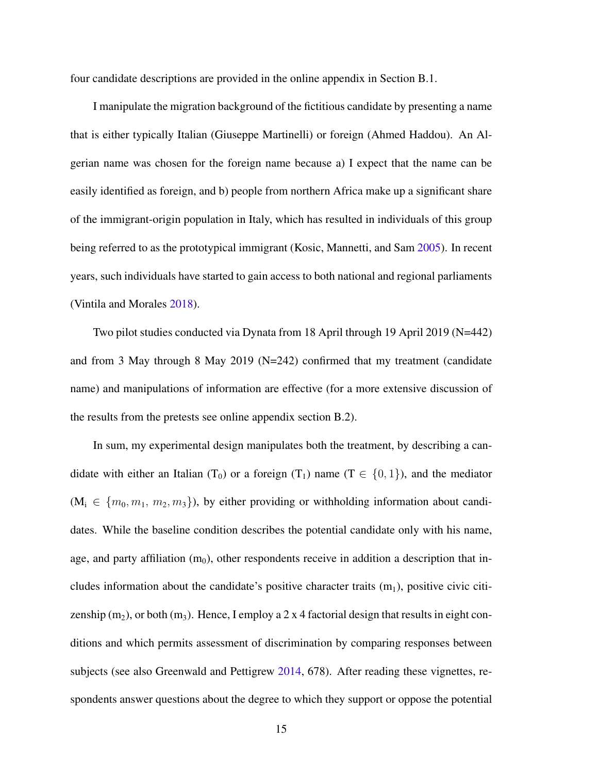four candidate descriptions are provided in the online appendix in Section B.1.

I manipulate the migration background of the fictitious candidate by presenting a name that is either typically Italian (Giuseppe Martinelli) or foreign (Ahmed Haddou). An Algerian name was chosen for the foreign name because a) I expect that the name can be easily identified as foreign, and b) people from northern Africa make up a significant share of the immigrant-origin population in Italy, which has resulted in individuals of this group being referred to as the prototypical immigrant (Kosic, Mannetti, and Sam [2005\)](#page-40-8). In recent years, such individuals have started to gain access to both national and regional parliaments (Vintila and Morales [2018\)](#page-43-4).

Two pilot studies conducted via Dynata from 18 April through 19 April 2019 (N=442) and from 3 May through 8 May 2019 (N=242) confirmed that my treatment (candidate name) and manipulations of information are effective (for a more extensive discussion of the results from the pretests see online appendix section B.2).

In sum, my experimental design manipulates both the treatment, by describing a candidate with either an Italian (T<sub>0</sub>) or a foreign (T<sub>1</sub>) name (T  $\in \{0, 1\}$ ), and the mediator  $(M_i \in \{m_0, m_1, m_2, m_3\})$ , by either providing or withholding information about candidates. While the baseline condition describes the potential candidate only with his name, age, and party affiliation  $(m_0)$ , other respondents receive in addition a description that includes information about the candidate's positive character traits  $(m_1)$ , positive civic citizenship (m<sub>2</sub>), or both (m<sub>3</sub>). Hence, I employ a 2 x 4 factorial design that results in eight conditions and which permits assessment of discrimination by comparing responses between subjects (see also Greenwald and Pettigrew [2014,](#page-38-1) 678). After reading these vignettes, respondents answer questions about the degree to which they support or oppose the potential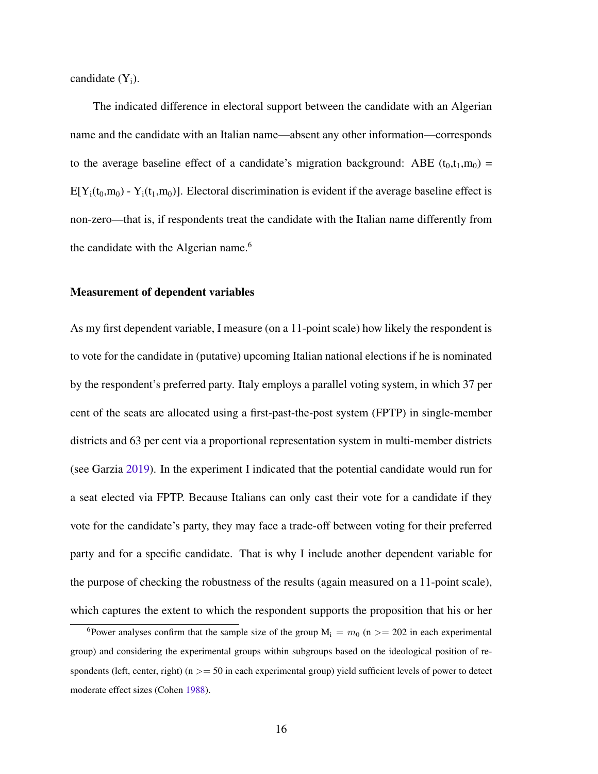candidate  $(Y_i)$ .

The indicated difference in electoral support between the candidate with an Algerian name and the candidate with an Italian name—absent any other information—corresponds to the average baseline effect of a candidate's migration background: ABE  $(t_0, t_1, m_0)$  =  $E[Y_i(t_0,m_0) - Y_i(t_1,m_0)]$ . Electoral discrimination is evident if the average baseline effect is non-zero—that is, if respondents treat the candidate with the Italian name differently from the candidate with the Algerian name.<sup>[6](#page-0-0)</sup>

#### Measurement of dependent variables

As my first dependent variable, I measure (on a 11-point scale) how likely the respondent is to vote for the candidate in (putative) upcoming Italian national elections if he is nominated by the respondent's preferred party. Italy employs a parallel voting system, in which 37 per cent of the seats are allocated using a first-past-the-post system (FPTP) in single-member districts and 63 per cent via a proportional representation system in multi-member districts (see Garzia [2019\)](#page-38-7). In the experiment I indicated that the potential candidate would run for a seat elected via FPTP. Because Italians can only cast their vote for a candidate if they vote for the candidate's party, they may face a trade-off between voting for their preferred party and for a specific candidate. That is why I include another dependent variable for the purpose of checking the robustness of the results (again measured on a 11-point scale), which captures the extent to which the respondent supports the proposition that his or her

<sup>&</sup>lt;sup>6</sup>Power analyses confirm that the sample size of the group  $M_i = m_0$  (n >= 202 in each experimental group) and considering the experimental groups within subgroups based on the ideological position of respondents (left, center, right) ( $n \geq 50$  in each experimental group) yield sufficient levels of power to detect moderate effect sizes (Cohen [1988\)](#page-37-9).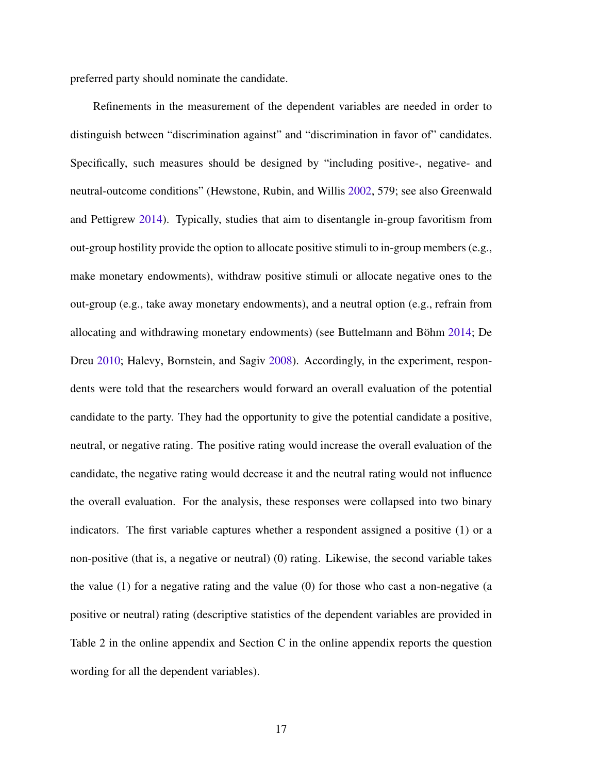preferred party should nominate the candidate.

Refinements in the measurement of the dependent variables are needed in order to distinguish between "discrimination against" and "discrimination in favor of" candidates. Specifically, such measures should be designed by "including positive-, negative- and neutral-outcome conditions" (Hewstone, Rubin, and Willis [2002,](#page-39-3) 579; see also Greenwald and Pettigrew [2014\)](#page-38-1). Typically, studies that aim to disentangle in-group favoritism from out-group hostility provide the option to allocate positive stimuli to in-group members (e.g., make monetary endowments), withdraw positive stimuli or allocate negative ones to the out-group (e.g., take away monetary endowments), and a neutral option (e.g., refrain from allocating and withdrawing monetary endowments) (see Buttelmann and Böhm [2014;](#page-37-3) De Dreu [2010;](#page-37-2) Halevy, Bornstein, and Sagiv [2008\)](#page-39-7). Accordingly, in the experiment, respondents were told that the researchers would forward an overall evaluation of the potential candidate to the party. They had the opportunity to give the potential candidate a positive, neutral, or negative rating. The positive rating would increase the overall evaluation of the candidate, the negative rating would decrease it and the neutral rating would not influence the overall evaluation. For the analysis, these responses were collapsed into two binary indicators. The first variable captures whether a respondent assigned a positive (1) or a non-positive (that is, a negative or neutral) (0) rating. Likewise, the second variable takes the value  $(1)$  for a negative rating and the value  $(0)$  for those who cast a non-negative (a positive or neutral) rating (descriptive statistics of the dependent variables are provided in Table 2 in the online appendix and Section C in the online appendix reports the question wording for all the dependent variables).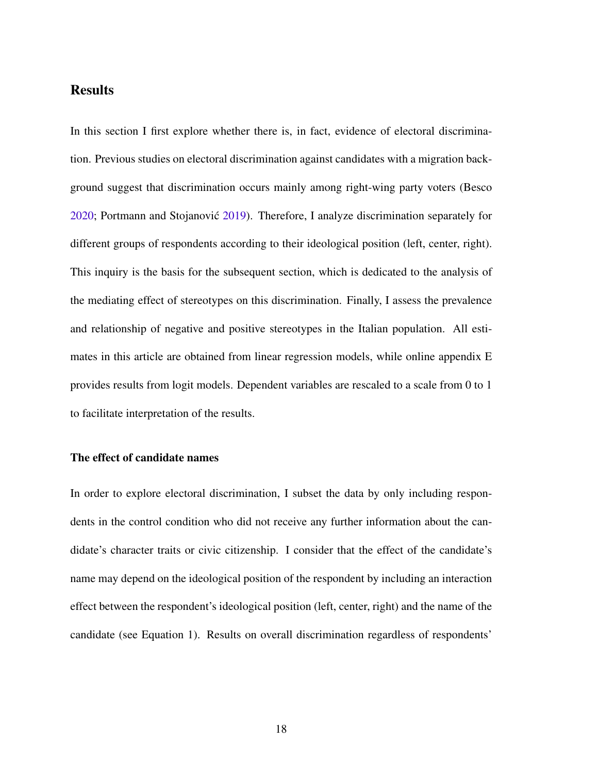# **Results**

In this section I first explore whether there is, in fact, evidence of electoral discrimination. Previous studies on electoral discrimination against candidates with a migration background suggest that discrimination occurs mainly among right-wing party voters (Besco [2020;](#page-36-0) Portmann and Stojanovic´ [2019\)](#page-41-0). Therefore, I analyze discrimination separately for different groups of respondents according to their ideological position (left, center, right). This inquiry is the basis for the subsequent section, which is dedicated to the analysis of the mediating effect of stereotypes on this discrimination. Finally, I assess the prevalence and relationship of negative and positive stereotypes in the Italian population. All estimates in this article are obtained from linear regression models, while online appendix E provides results from logit models. Dependent variables are rescaled to a scale from 0 to 1 to facilitate interpretation of the results.

## The effect of candidate names

In order to explore electoral discrimination, I subset the data by only including respondents in the control condition who did not receive any further information about the candidate's character traits or civic citizenship. I consider that the effect of the candidate's name may depend on the ideological position of the respondent by including an interaction effect between the respondent's ideological position (left, center, right) and the name of the candidate (see Equation 1). Results on overall discrimination regardless of respondents'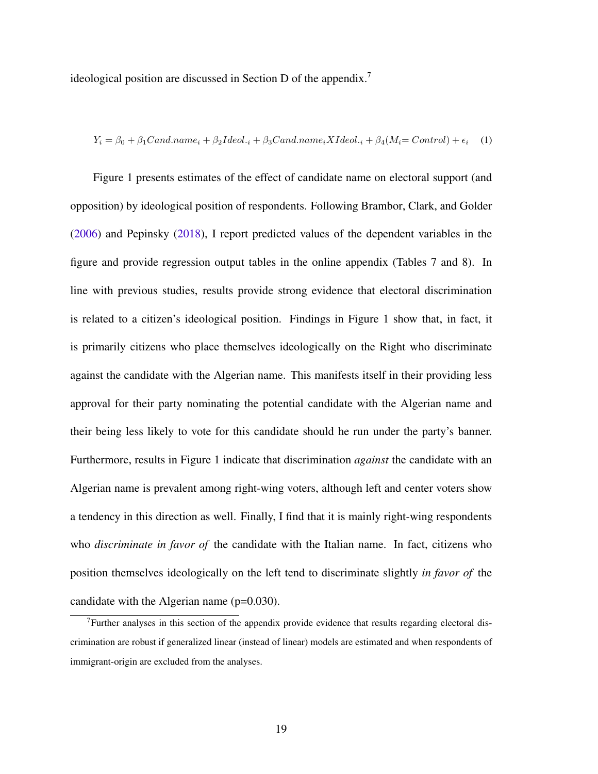ideological position are discussed in Section D of the appendix.[7](#page-0-0)

$$
Y_i = \beta_0 + \beta_1 Cand.name_i + \beta_2 Ideol._i + \beta_3 Cand.name_i XIdeol._i + \beta_4 (M_i = Control) + \epsilon_i \tag{1}
$$

Figure 1 presents estimates of the effect of candidate name on electoral support (and opposition) by ideological position of respondents. Following Brambor, Clark, and Golder [\(2006\)](#page-36-7) and Pepinsky [\(2018\)](#page-41-7), I report predicted values of the dependent variables in the figure and provide regression output tables in the online appendix (Tables 7 and 8). In line with previous studies, results provide strong evidence that electoral discrimination is related to a citizen's ideological position. Findings in Figure 1 show that, in fact, it is primarily citizens who place themselves ideologically on the Right who discriminate against the candidate with the Algerian name. This manifests itself in their providing less approval for their party nominating the potential candidate with the Algerian name and their being less likely to vote for this candidate should he run under the party's banner. Furthermore, results in Figure 1 indicate that discrimination *against* the candidate with an Algerian name is prevalent among right-wing voters, although left and center voters show a tendency in this direction as well. Finally, I find that it is mainly right-wing respondents who *discriminate in favor of* the candidate with the Italian name. In fact, citizens who position themselves ideologically on the left tend to discriminate slightly *in favor of* the candidate with the Algerian name (p=0.030).

<sup>&</sup>lt;sup>7</sup>Further analyses in this section of the appendix provide evidence that results regarding electoral discrimination are robust if generalized linear (instead of linear) models are estimated and when respondents of immigrant-origin are excluded from the analyses.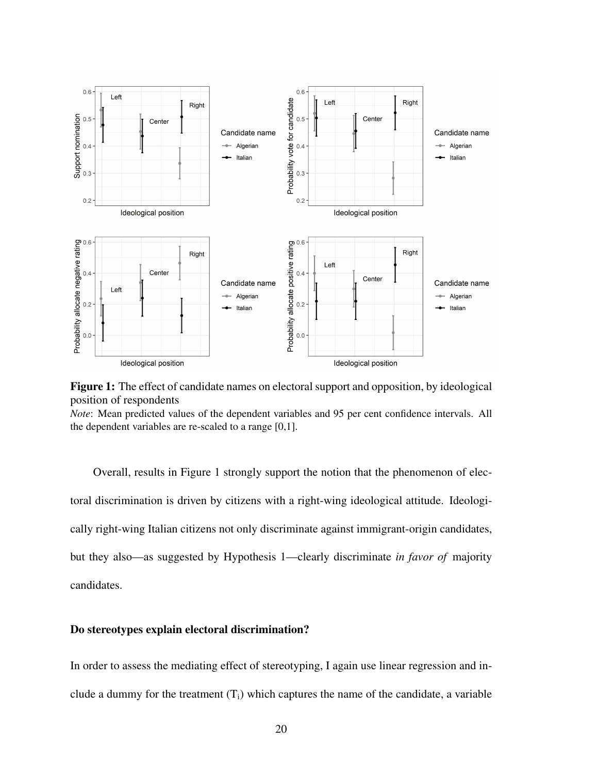

Figure 1: The effect of candidate names on electoral support and opposition, by ideological position of respondents

*Note*: Mean predicted values of the dependent variables and 95 per cent confidence intervals. All the dependent variables are re-scaled to a range [0,1].

Overall, results in Figure 1 strongly support the notion that the phenomenon of electoral discrimination is driven by citizens with a right-wing ideological attitude. Ideologically right-wing Italian citizens not only discriminate against immigrant-origin candidates, but they also—as suggested by Hypothesis 1—clearly discriminate *in favor of* majority candidates.

## Do stereotypes explain electoral discrimination?

In order to assess the mediating effect of stereotyping, I again use linear regression and include a dummy for the treatment  $(T_i)$  which captures the name of the candidate, a variable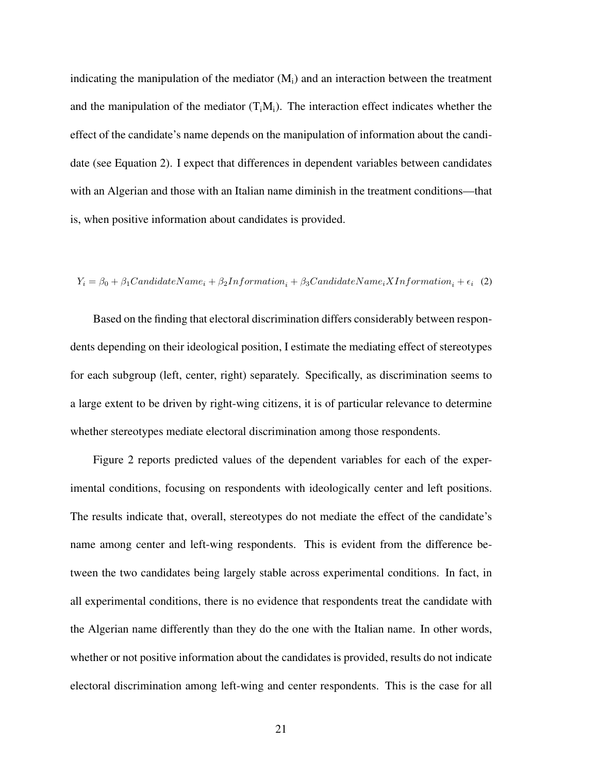indicating the manipulation of the mediator  $(M<sub>i</sub>)$  and an interaction between the treatment and the manipulation of the mediator  $(T_iM_i)$ . The interaction effect indicates whether the effect of the candidate's name depends on the manipulation of information about the candidate (see Equation 2). I expect that differences in dependent variables between candidates with an Algerian and those with an Italian name diminish in the treatment conditions—that is, when positive information about candidates is provided.

#### $Y_i = \beta_0 + \beta_1 CandidateName_i + \beta_2 Information_i + \beta_3 CandidateName_iXInformation_i + \epsilon_i$  (2)

Based on the finding that electoral discrimination differs considerably between respondents depending on their ideological position, I estimate the mediating effect of stereotypes for each subgroup (left, center, right) separately. Specifically, as discrimination seems to a large extent to be driven by right-wing citizens, it is of particular relevance to determine whether stereotypes mediate electoral discrimination among those respondents.

Figure 2 reports predicted values of the dependent variables for each of the experimental conditions, focusing on respondents with ideologically center and left positions. The results indicate that, overall, stereotypes do not mediate the effect of the candidate's name among center and left-wing respondents. This is evident from the difference between the two candidates being largely stable across experimental conditions. In fact, in all experimental conditions, there is no evidence that respondents treat the candidate with the Algerian name differently than they do the one with the Italian name. In other words, whether or not positive information about the candidates is provided, results do not indicate electoral discrimination among left-wing and center respondents. This is the case for all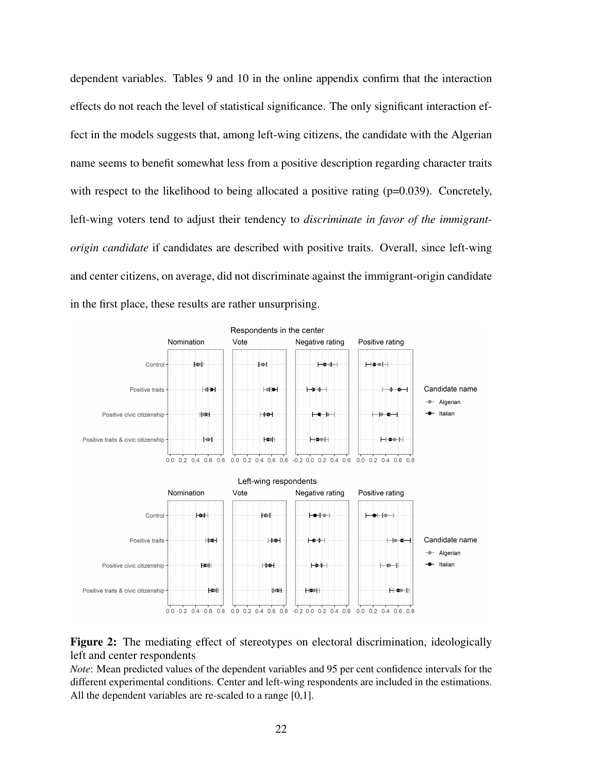dependent variables. Tables 9 and 10 in the online appendix confirm that the interaction effects do not reach the level of statistical significance. The only significant interaction effect in the models suggests that, among left-wing citizens, the candidate with the Algerian name seems to benefit somewhat less from a positive description regarding character traits with respect to the likelihood to being allocated a positive rating (p=0.039). Concretely, left-wing voters tend to adjust their tendency to *discriminate in favor of the immigrantorigin candidate* if candidates are described with positive traits. Overall, since left-wing and center citizens, on average, did not discriminate against the immigrant-origin candidate in the first place, these results are rather unsurprising.



## Figure 2: The mediating effect of stereotypes on electoral discrimination, ideologically left and center respondents

*Note*: Mean predicted values of the dependent variables and 95 per cent confidence intervals for the different experimental conditions. Center and left-wing respondents are included in the estimations. All the dependent variables are re-scaled to a range [0,1].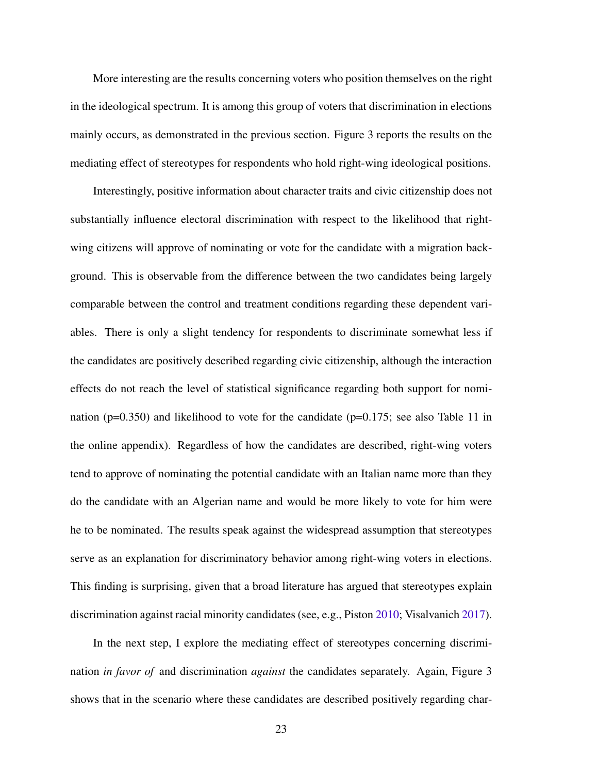More interesting are the results concerning voters who position themselves on the right in the ideological spectrum. It is among this group of voters that discrimination in elections mainly occurs, as demonstrated in the previous section. Figure 3 reports the results on the mediating effect of stereotypes for respondents who hold right-wing ideological positions.

Interestingly, positive information about character traits and civic citizenship does not substantially influence electoral discrimination with respect to the likelihood that rightwing citizens will approve of nominating or vote for the candidate with a migration background. This is observable from the difference between the two candidates being largely comparable between the control and treatment conditions regarding these dependent variables. There is only a slight tendency for respondents to discriminate somewhat less if the candidates are positively described regarding civic citizenship, although the interaction effects do not reach the level of statistical significance regarding both support for nomination ( $p=0.350$ ) and likelihood to vote for the candidate ( $p=0.175$ ; see also Table 11 in the online appendix). Regardless of how the candidates are described, right-wing voters tend to approve of nominating the potential candidate with an Italian name more than they do the candidate with an Algerian name and would be more likely to vote for him were he to be nominated. The results speak against the widespread assumption that stereotypes serve as an explanation for discriminatory behavior among right-wing voters in elections. This finding is surprising, given that a broad literature has argued that stereotypes explain discrimination against racial minority candidates (see, e.g., Piston [2010;](#page-41-3) Visalvanich [2017\)](#page-43-5).

In the next step, I explore the mediating effect of stereotypes concerning discrimination *in favor of* and discrimination *against* the candidates separately. Again, Figure 3 shows that in the scenario where these candidates are described positively regarding char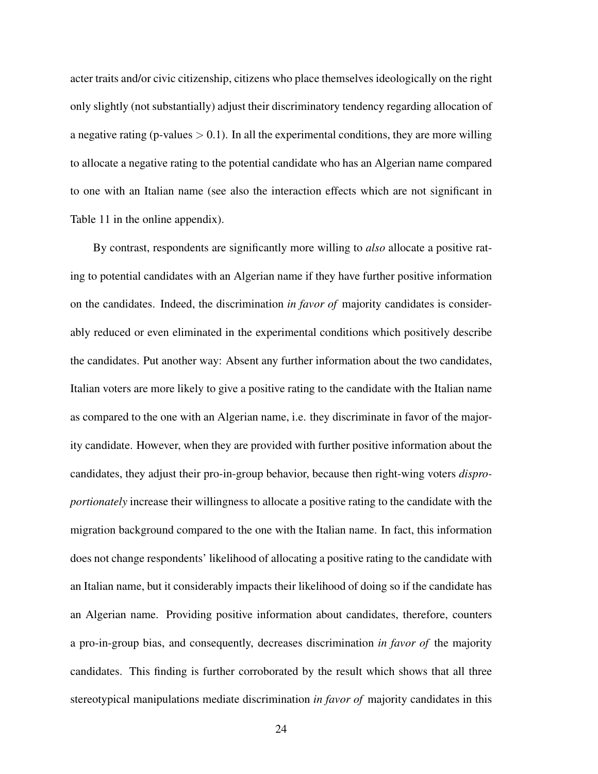acter traits and/or civic citizenship, citizens who place themselves ideologically on the right only slightly (not substantially) adjust their discriminatory tendency regarding allocation of a negative rating (p-values  $> 0.1$ ). In all the experimental conditions, they are more willing to allocate a negative rating to the potential candidate who has an Algerian name compared to one with an Italian name (see also the interaction effects which are not significant in Table 11 in the online appendix).

By contrast, respondents are significantly more willing to *also* allocate a positive rating to potential candidates with an Algerian name if they have further positive information on the candidates. Indeed, the discrimination *in favor of* majority candidates is considerably reduced or even eliminated in the experimental conditions which positively describe the candidates. Put another way: Absent any further information about the two candidates, Italian voters are more likely to give a positive rating to the candidate with the Italian name as compared to the one with an Algerian name, i.e. they discriminate in favor of the majority candidate. However, when they are provided with further positive information about the candidates, they adjust their pro-in-group behavior, because then right-wing voters *disproportionately* increase their willingness to allocate a positive rating to the candidate with the migration background compared to the one with the Italian name. In fact, this information does not change respondents' likelihood of allocating a positive rating to the candidate with an Italian name, but it considerably impacts their likelihood of doing so if the candidate has an Algerian name. Providing positive information about candidates, therefore, counters a pro-in-group bias, and consequently, decreases discrimination *in favor of* the majority candidates. This finding is further corroborated by the result which shows that all three stereotypical manipulations mediate discrimination *in favor of* majority candidates in this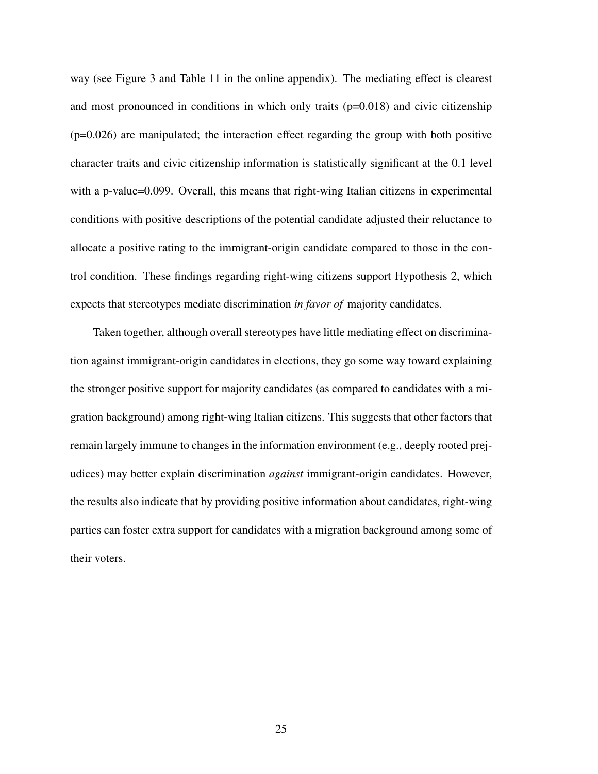way (see Figure 3 and Table 11 in the online appendix). The mediating effect is clearest and most pronounced in conditions in which only traits  $(p=0.018)$  and civic citizenship  $(p=0.026)$  are manipulated; the interaction effect regarding the group with both positive character traits and civic citizenship information is statistically significant at the 0.1 level with a p-value=0.099. Overall, this means that right-wing Italian citizens in experimental conditions with positive descriptions of the potential candidate adjusted their reluctance to allocate a positive rating to the immigrant-origin candidate compared to those in the control condition. These findings regarding right-wing citizens support Hypothesis 2, which expects that stereotypes mediate discrimination *in favor of* majority candidates.

Taken together, although overall stereotypes have little mediating effect on discrimination against immigrant-origin candidates in elections, they go some way toward explaining the stronger positive support for majority candidates (as compared to candidates with a migration background) among right-wing Italian citizens. This suggests that other factors that remain largely immune to changes in the information environment (e.g., deeply rooted prejudices) may better explain discrimination *against* immigrant-origin candidates. However, the results also indicate that by providing positive information about candidates, right-wing parties can foster extra support for candidates with a migration background among some of their voters.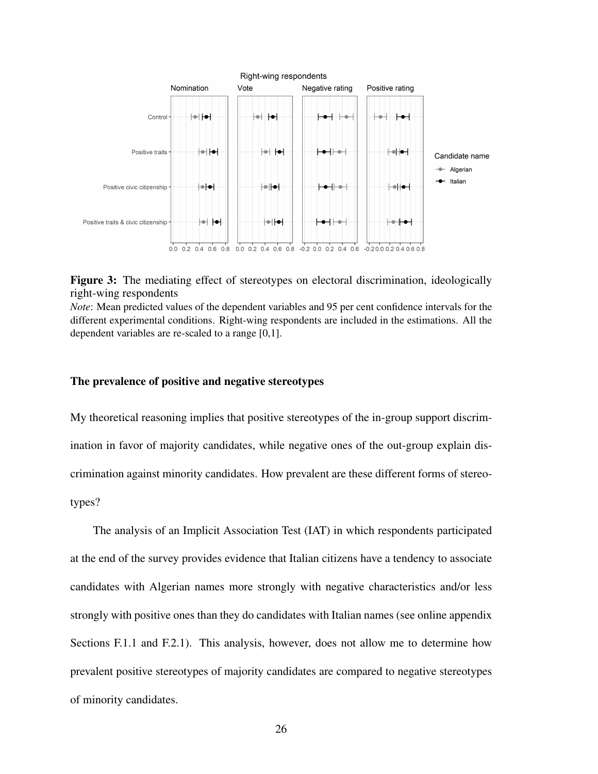



*Note*: Mean predicted values of the dependent variables and 95 per cent confidence intervals for the different experimental conditions. Right-wing respondents are included in the estimations. All the dependent variables are re-scaled to a range [0,1].

## The prevalence of positive and negative stereotypes

My theoretical reasoning implies that positive stereotypes of the in-group support discrimination in favor of majority candidates, while negative ones of the out-group explain discrimination against minority candidates. How prevalent are these different forms of stereotypes?

The analysis of an Implicit Association Test (IAT) in which respondents participated at the end of the survey provides evidence that Italian citizens have a tendency to associate candidates with Algerian names more strongly with negative characteristics and/or less strongly with positive ones than they do candidates with Italian names (see online appendix Sections F.1.1 and F.2.1). This analysis, however, does not allow me to determine how prevalent positive stereotypes of majority candidates are compared to negative stereotypes of minority candidates.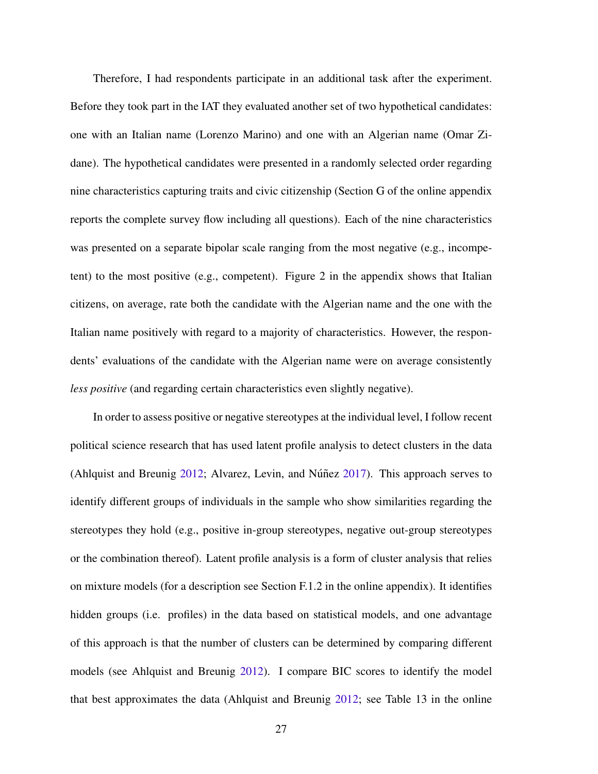Therefore, I had respondents participate in an additional task after the experiment. Before they took part in the IAT they evaluated another set of two hypothetical candidates: one with an Italian name (Lorenzo Marino) and one with an Algerian name (Omar Zidane). The hypothetical candidates were presented in a randomly selected order regarding nine characteristics capturing traits and civic citizenship (Section G of the online appendix reports the complete survey flow including all questions). Each of the nine characteristics was presented on a separate bipolar scale ranging from the most negative (e.g., incompetent) to the most positive (e.g., competent). Figure 2 in the appendix shows that Italian citizens, on average, rate both the candidate with the Algerian name and the one with the Italian name positively with regard to a majority of characteristics. However, the respondents' evaluations of the candidate with the Algerian name were on average consistently *less positive* (and regarding certain characteristics even slightly negative).

In order to assess positive or negative stereotypes at the individual level, I follow recent political science research that has used latent profile analysis to detect clusters in the data (Ahlquist and Breunig  $2012$ ; Alvarez, Levin, and Núñez  $2017$ ). This approach serves to identify different groups of individuals in the sample who show similarities regarding the stereotypes they hold (e.g., positive in-group stereotypes, negative out-group stereotypes or the combination thereof). Latent profile analysis is a form of cluster analysis that relies on mixture models (for a description see Section F.1.2 in the online appendix). It identifies hidden groups (i.e. profiles) in the data based on statistical models, and one advantage of this approach is that the number of clusters can be determined by comparing different models (see Ahlquist and Breunig [2012\)](#page-35-4). I compare BIC scores to identify the model that best approximates the data (Ahlquist and Breunig [2012;](#page-35-4) see Table 13 in the online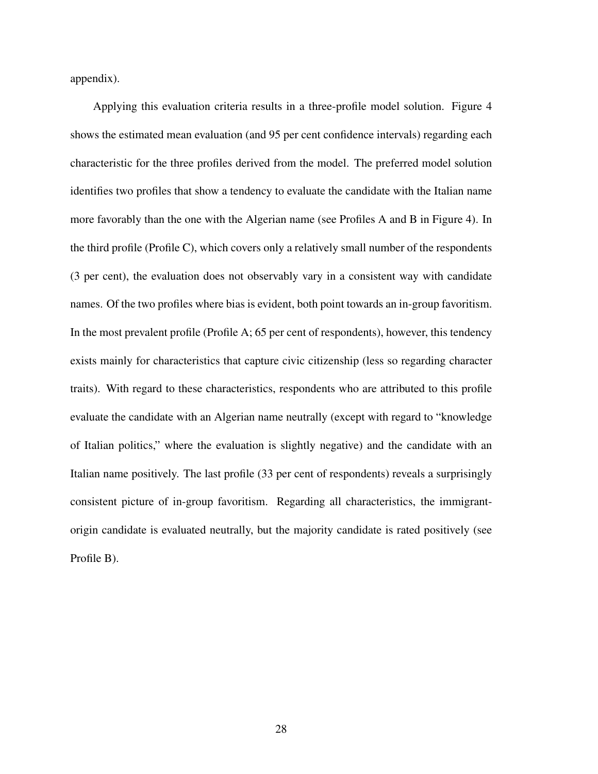appendix).

Applying this evaluation criteria results in a three-profile model solution. Figure 4 shows the estimated mean evaluation (and 95 per cent confidence intervals) regarding each characteristic for the three profiles derived from the model. The preferred model solution identifies two profiles that show a tendency to evaluate the candidate with the Italian name more favorably than the one with the Algerian name (see Profiles A and B in Figure 4). In the third profile (Profile C), which covers only a relatively small number of the respondents (3 per cent), the evaluation does not observably vary in a consistent way with candidate names. Of the two profiles where bias is evident, both point towards an in-group favoritism. In the most prevalent profile (Profile A; 65 per cent of respondents), however, this tendency exists mainly for characteristics that capture civic citizenship (less so regarding character traits). With regard to these characteristics, respondents who are attributed to this profile evaluate the candidate with an Algerian name neutrally (except with regard to "knowledge of Italian politics," where the evaluation is slightly negative) and the candidate with an Italian name positively. The last profile (33 per cent of respondents) reveals a surprisingly consistent picture of in-group favoritism. Regarding all characteristics, the immigrantorigin candidate is evaluated neutrally, but the majority candidate is rated positively (see Profile B).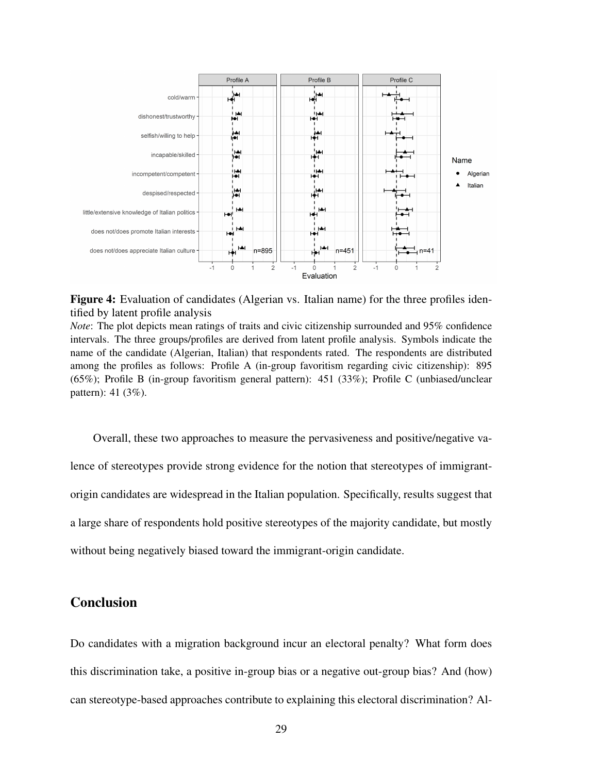

Figure 4: Evaluation of candidates (Algerian vs. Italian name) for the three profiles identified by latent profile analysis

*Note*: The plot depicts mean ratings of traits and civic citizenship surrounded and 95% confidence intervals. The three groups/profiles are derived from latent profile analysis. Symbols indicate the name of the candidate (Algerian, Italian) that respondents rated. The respondents are distributed among the profiles as follows: Profile A (in-group favoritism regarding civic citizenship): 895 (65%); Profile B (in-group favoritism general pattern): 451 (33%); Profile C (unbiased/unclear pattern): 41 (3%).

Overall, these two approaches to measure the pervasiveness and positive/negative valence of stereotypes provide strong evidence for the notion that stereotypes of immigrantorigin candidates are widespread in the Italian population. Specifically, results suggest that a large share of respondents hold positive stereotypes of the majority candidate, but mostly without being negatively biased toward the immigrant-origin candidate.

# **Conclusion**

Do candidates with a migration background incur an electoral penalty? What form does this discrimination take, a positive in-group bias or a negative out-group bias? And (how) can stereotype-based approaches contribute to explaining this electoral discrimination? Al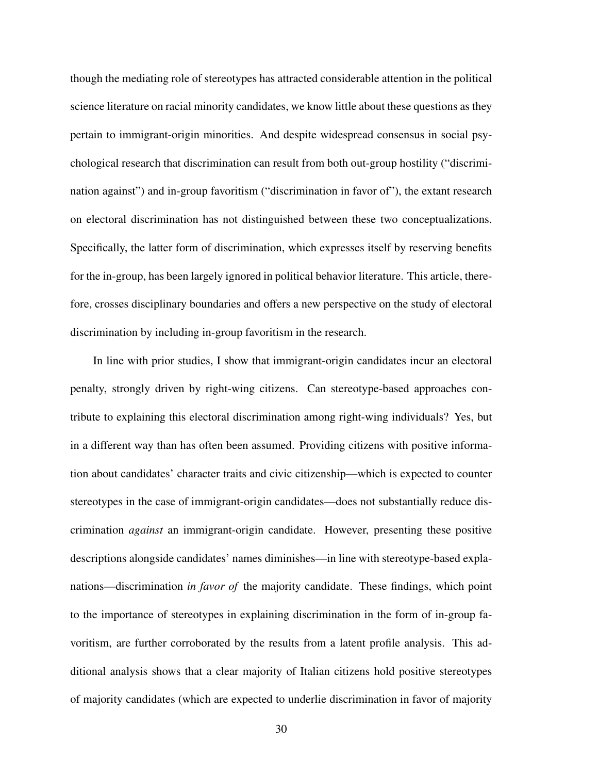though the mediating role of stereotypes has attracted considerable attention in the political science literature on racial minority candidates, we know little about these questions as they pertain to immigrant-origin minorities. And despite widespread consensus in social psychological research that discrimination can result from both out-group hostility ("discrimination against") and in-group favoritism ("discrimination in favor of"), the extant research on electoral discrimination has not distinguished between these two conceptualizations. Specifically, the latter form of discrimination, which expresses itself by reserving benefits for the in-group, has been largely ignored in political behavior literature. This article, therefore, crosses disciplinary boundaries and offers a new perspective on the study of electoral discrimination by including in-group favoritism in the research.

In line with prior studies, I show that immigrant-origin candidates incur an electoral penalty, strongly driven by right-wing citizens. Can stereotype-based approaches contribute to explaining this electoral discrimination among right-wing individuals? Yes, but in a different way than has often been assumed. Providing citizens with positive information about candidates' character traits and civic citizenship—which is expected to counter stereotypes in the case of immigrant-origin candidates—does not substantially reduce discrimination *against* an immigrant-origin candidate. However, presenting these positive descriptions alongside candidates' names diminishes—in line with stereotype-based explanations—discrimination *in favor of* the majority candidate. These findings, which point to the importance of stereotypes in explaining discrimination in the form of in-group favoritism, are further corroborated by the results from a latent profile analysis. This additional analysis shows that a clear majority of Italian citizens hold positive stereotypes of majority candidates (which are expected to underlie discrimination in favor of majority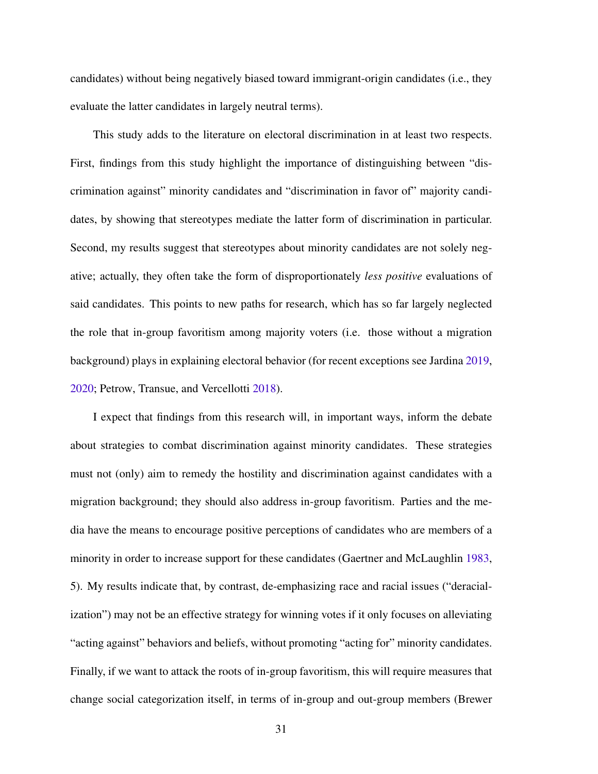candidates) without being negatively biased toward immigrant-origin candidates (i.e., they evaluate the latter candidates in largely neutral terms).

This study adds to the literature on electoral discrimination in at least two respects. First, findings from this study highlight the importance of distinguishing between "discrimination against" minority candidates and "discrimination in favor of" majority candidates, by showing that stereotypes mediate the latter form of discrimination in particular. Second, my results suggest that stereotypes about minority candidates are not solely negative; actually, they often take the form of disproportionately *less positive* evaluations of said candidates. This points to new paths for research, which has so far largely neglected the role that in-group favoritism among majority voters (i.e. those without a migration background) plays in explaining electoral behavior (for recent exceptions see Jardina [2019,](#page-39-2) [2020;](#page-39-0) Petrow, Transue, and Vercellotti [2018\)](#page-41-2).

I expect that findings from this research will, in important ways, inform the debate about strategies to combat discrimination against minority candidates. These strategies must not (only) aim to remedy the hostility and discrimination against candidates with a migration background; they should also address in-group favoritism. Parties and the media have the means to encourage positive perceptions of candidates who are members of a minority in order to increase support for these candidates (Gaertner and McLaughlin [1983,](#page-38-4) 5). My results indicate that, by contrast, de-emphasizing race and racial issues ("deracialization") may not be an effective strategy for winning votes if it only focuses on alleviating "acting against" behaviors and beliefs, without promoting "acting for" minority candidates. Finally, if we want to attack the roots of in-group favoritism, this will require measures that change social categorization itself, in terms of in-group and out-group members (Brewer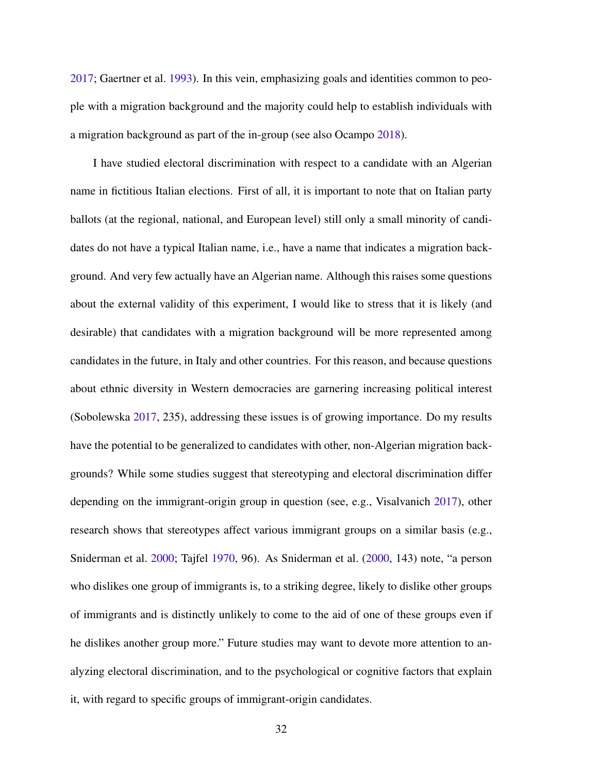[2017;](#page-36-1) Gaertner et al. [1993\)](#page-38-5). In this vein, emphasizing goals and identities common to people with a migration background and the majority could help to establish individuals with a migration background as part of the in-group (see also Ocampo [2018\)](#page-41-8).

I have studied electoral discrimination with respect to a candidate with an Algerian name in fictitious Italian elections. First of all, it is important to note that on Italian party ballots (at the regional, national, and European level) still only a small minority of candidates do not have a typical Italian name, i.e., have a name that indicates a migration background. And very few actually have an Algerian name. Although this raises some questions about the external validity of this experiment, I would like to stress that it is likely (and desirable) that candidates with a migration background will be more represented among candidates in the future, in Italy and other countries. For this reason, and because questions about ethnic diversity in Western democracies are garnering increasing political interest (Sobolewska [2017,](#page-42-1) 235), addressing these issues is of growing importance. Do my results have the potential to be generalized to candidates with other, non-Algerian migration backgrounds? While some studies suggest that stereotyping and electoral discrimination differ depending on the immigrant-origin group in question (see, e.g., Visalvanich [2017\)](#page-43-5), other research shows that stereotypes affect various immigrant groups on a similar basis (e.g., Sniderman et al. [2000;](#page-42-6) Tajfel [1970,](#page-43-2) 96). As Sniderman et al. [\(2000,](#page-42-6) 143) note, "a person who dislikes one group of immigrants is, to a striking degree, likely to dislike other groups of immigrants and is distinctly unlikely to come to the aid of one of these groups even if he dislikes another group more." Future studies may want to devote more attention to analyzing electoral discrimination, and to the psychological or cognitive factors that explain it, with regard to specific groups of immigrant-origin candidates.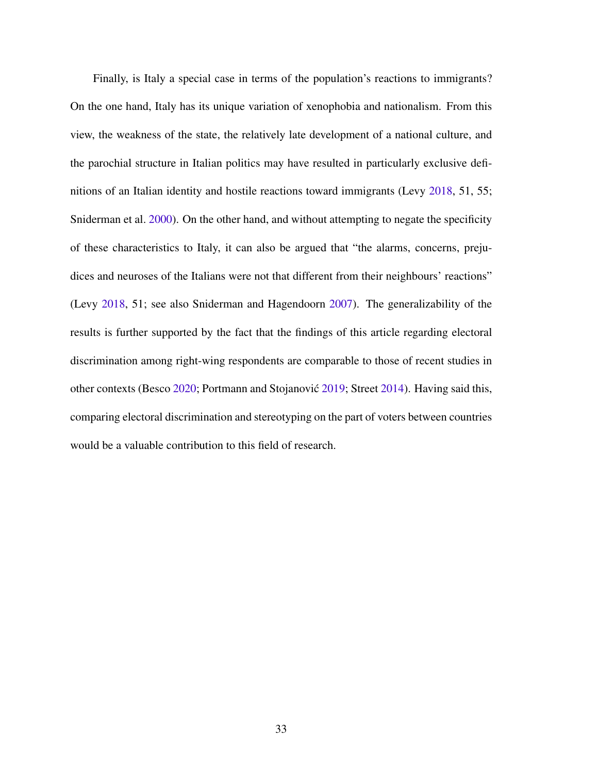Finally, is Italy a special case in terms of the population's reactions to immigrants? On the one hand, Italy has its unique variation of xenophobia and nationalism. From this view, the weakness of the state, the relatively late development of a national culture, and the parochial structure in Italian politics may have resulted in particularly exclusive definitions of an Italian identity and hostile reactions toward immigrants (Levy [2018,](#page-40-5) 51, 55; Sniderman et al. [2000\)](#page-42-6). On the other hand, and without attempting to negate the specificity of these characteristics to Italy, it can also be argued that "the alarms, concerns, prejudices and neuroses of the Italians were not that different from their neighbours' reactions" (Levy [2018,](#page-40-5) 51; see also Sniderman and Hagendoorn [2007\)](#page-42-7). The generalizability of the results is further supported by the fact that the findings of this article regarding electoral discrimination among right-wing respondents are comparable to those of recent studies in other contexts (Besco [2020;](#page-36-0) Portmann and Stojanović [2019;](#page-41-0) Street [2014\)](#page-43-0). Having said this, comparing electoral discrimination and stereotyping on the part of voters between countries would be a valuable contribution to this field of research.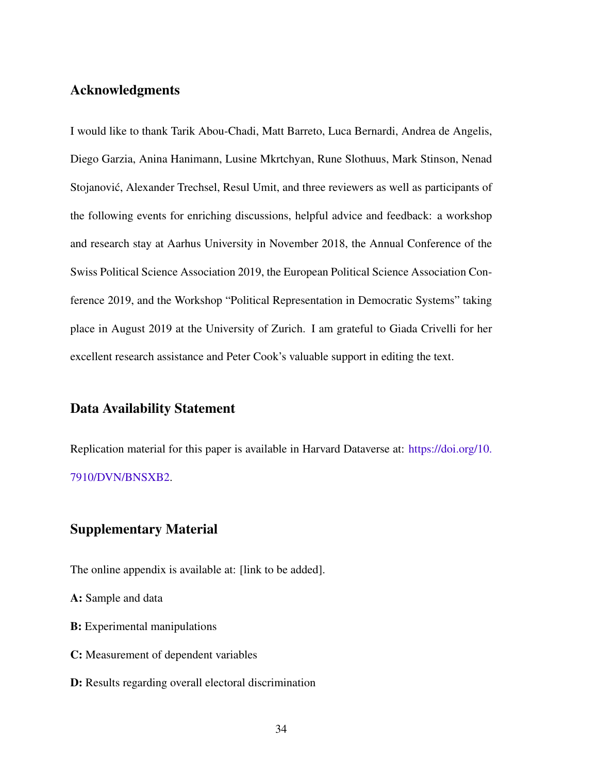# Acknowledgments

I would like to thank Tarik Abou-Chadi, Matt Barreto, Luca Bernardi, Andrea de Angelis, Diego Garzia, Anina Hanimann, Lusine Mkrtchyan, Rune Slothuus, Mark Stinson, Nenad Stojanović, Alexander Trechsel, Resul Umit, and three reviewers as well as participants of the following events for enriching discussions, helpful advice and feedback: a workshop and research stay at Aarhus University in November 2018, the Annual Conference of the Swiss Political Science Association 2019, the European Political Science Association Conference 2019, and the Workshop "Political Representation in Democratic Systems" taking place in August 2019 at the University of Zurich. I am grateful to Giada Crivelli for her excellent research assistance and Peter Cook's valuable support in editing the text.

# Data Availability Statement

Replication material for this paper is available in Harvard Dataverse at: [https://doi.org/10.](https://doi.org/10.7910/DVN/BNSXB2) [7910/DVN/BNSXB2.](https://doi.org/10.7910/DVN/BNSXB2)

# Supplementary Material

The online appendix is available at: [link to be added].

A: Sample and data

- B: Experimental manipulations
- C: Measurement of dependent variables
- D: Results regarding overall electoral discrimination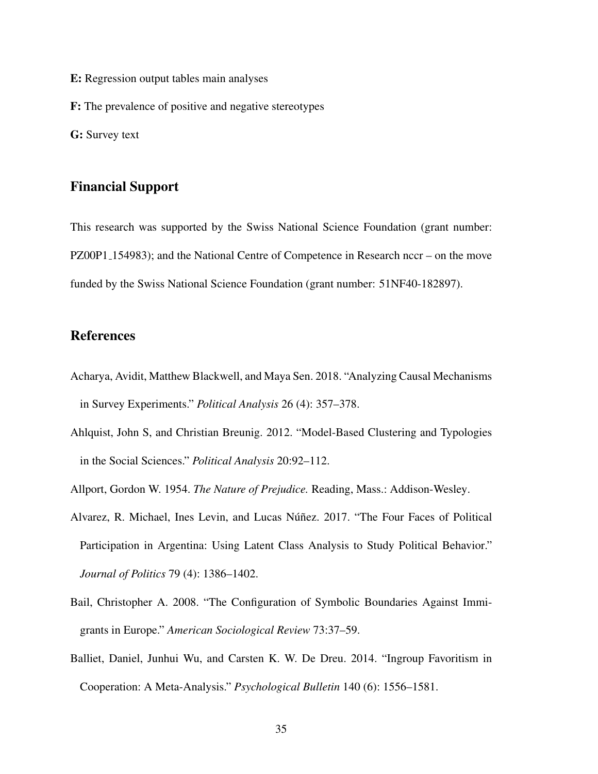- E: Regression output tables main analyses
- F: The prevalence of positive and negative stereotypes

G: Survey text

# Financial Support

This research was supported by the Swiss National Science Foundation (grant number: PZ00P1 154983); and the National Centre of Competence in Research nccr – on the move funded by the Swiss National Science Foundation (grant number: 51NF40-182897).

# References

- <span id="page-35-2"></span>Acharya, Avidit, Matthew Blackwell, and Maya Sen. 2018. "Analyzing Causal Mechanisms in Survey Experiments." *Political Analysis* 26 (4): 357–378.
- <span id="page-35-4"></span>Ahlquist, John S, and Christian Breunig. 2012. "Model-Based Clustering and Typologies in the Social Sciences." *Political Analysis* 20:92–112.
- <span id="page-35-5"></span><span id="page-35-1"></span>Allport, Gordon W. 1954. *The Nature of Prejudice.* Reading, Mass.: Addison-Wesley.
- Alvarez, R. Michael, Ines Levin, and Lucas Núñez. 2017. "The Four Faces of Political Participation in Argentina: Using Latent Class Analysis to Study Political Behavior." *Journal of Politics* 79 (4): 1386–1402.
- <span id="page-35-3"></span>Bail, Christopher A. 2008. "The Configuration of Symbolic Boundaries Against Immigrants in Europe." *American Sociological Review* 73:37–59.
- <span id="page-35-0"></span>Balliet, Daniel, Junhui Wu, and Carsten K. W. De Dreu. 2014. "Ingroup Favoritism in Cooperation: A Meta-Analysis." *Psychological Bulletin* 140 (6): 1556–1581.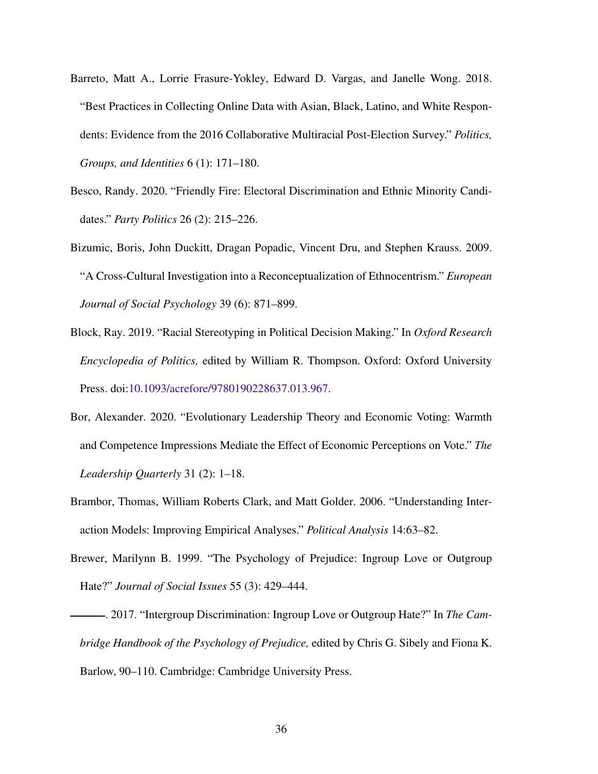- <span id="page-36-6"></span>Barreto, Matt A., Lorrie Frasure-Yokley, Edward D. Vargas, and Janelle Wong. 2018. "Best Practices in Collecting Online Data with Asian, Black, Latino, and White Respondents: Evidence from the 2016 Collaborative Multiracial Post-Election Survey." *Politics, Groups, and Identities* 6 (1): 171–180.
- <span id="page-36-0"></span>Besco, Randy. 2020. "Friendly Fire: Electoral Discrimination and Ethnic Minority Candidates." *Party Politics* 26 (2): 215–226.
- <span id="page-36-2"></span>Bizumic, Boris, John Duckitt, Dragan Popadic, Vincent Dru, and Stephen Krauss. 2009. "A Cross-Cultural Investigation into a Reconceptualization of Ethnocentrism." *European Journal of Social Psychology* 39 (6): 871–899.
- <span id="page-36-3"></span>Block, Ray. 2019. "Racial Stereotyping in Political Decision Making." In *Oxford Research Encyclopedia of Politics,* edited by William R. Thompson. Oxford: Oxford University Press. doi[:10.1093/acrefore/9780190228637.013.967.](http://dx.doi.org/10.1093/acrefore/9780190228637.013.967)
- <span id="page-36-5"></span>Bor, Alexander. 2020. "Evolutionary Leadership Theory and Economic Voting: Warmth and Competence Impressions Mediate the Effect of Economic Perceptions on Vote." *The Leadership Quarterly* 31 (2): 1–18.
- <span id="page-36-7"></span>Brambor, Thomas, William Roberts Clark, and Matt Golder. 2006. "Understanding Interaction Models: Improving Empirical Analyses." *Political Analysis* 14:63–82.
- <span id="page-36-4"></span>Brewer, Marilynn B. 1999. "The Psychology of Prejudice: Ingroup Love or Outgroup Hate?" *Journal of Social Issues* 55 (3): 429–444.
- <span id="page-36-1"></span>. 2017. "Intergroup Discrimination: Ingroup Love or Outgroup Hate?" In *The Cambridge Handbook of the Psychology of Prejudice,* edited by Chris G. Sibely and Fiona K. Barlow, 90–110. Cambridge: Cambridge University Press.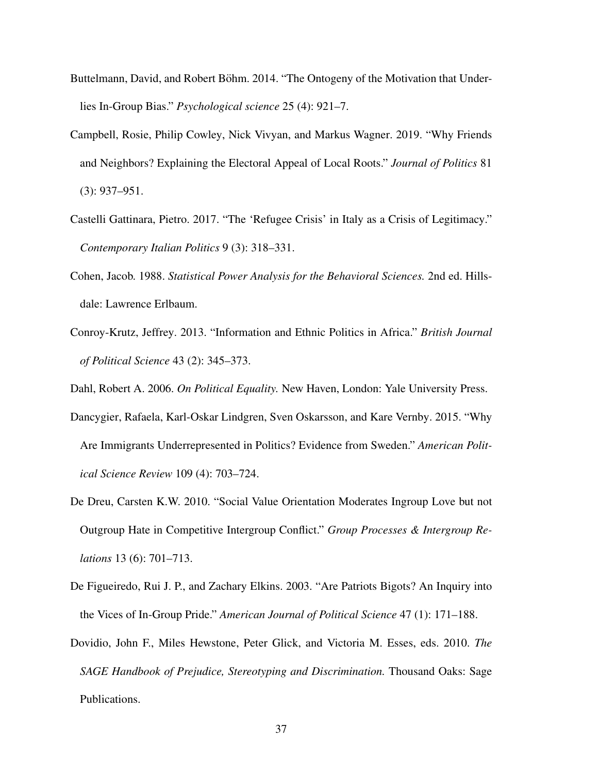- <span id="page-37-3"></span>Buttelmann, David, and Robert Böhm. 2014. "The Ontogeny of the Motivation that Underlies In-Group Bias." *Psychological science* 25 (4): 921–7.
- <span id="page-37-4"></span>Campbell, Rosie, Philip Cowley, Nick Vivyan, and Markus Wagner. 2019. "Why Friends and Neighbors? Explaining the Electoral Appeal of Local Roots." *Journal of Politics* 81 (3): 937–951.
- <span id="page-37-7"></span>Castelli Gattinara, Pietro. 2017. "The 'Refugee Crisis' in Italy as a Crisis of Legitimacy." *Contemporary Italian Politics* 9 (3): 318–331.
- <span id="page-37-9"></span>Cohen, Jacob. 1988. *Statistical Power Analysis for the Behavioral Sciences.* 2nd ed. Hillsdale: Lawrence Erlbaum.
- <span id="page-37-8"></span>Conroy-Krutz, Jeffrey. 2013. "Information and Ethnic Politics in Africa." *British Journal of Political Science* 43 (2): 345–373.
- <span id="page-37-1"></span><span id="page-37-0"></span>Dahl, Robert A. 2006. *On Political Equality.* New Haven, London: Yale University Press.
- Dancygier, Rafaela, Karl-Oskar Lindgren, Sven Oskarsson, and Kare Vernby. 2015. "Why Are Immigrants Underrepresented in Politics? Evidence from Sweden." *American Political Science Review* 109 (4): 703–724.
- <span id="page-37-2"></span>De Dreu, Carsten K.W. 2010. "Social Value Orientation Moderates Ingroup Love but not Outgroup Hate in Competitive Intergroup Conflict." *Group Processes & Intergroup Relations* 13 (6): 701–713.
- <span id="page-37-6"></span>De Figueiredo, Rui J. P., and Zachary Elkins. 2003. "Are Patriots Bigots? An Inquiry into the Vices of In-Group Pride." *American Journal of Political Science* 47 (1): 171–188.
- <span id="page-37-5"></span>Dovidio, John F., Miles Hewstone, Peter Glick, and Victoria M. Esses, eds. 2010. *The SAGE Handbook of Prejudice, Stereotyping and Discrimination.* Thousand Oaks: Sage Publications.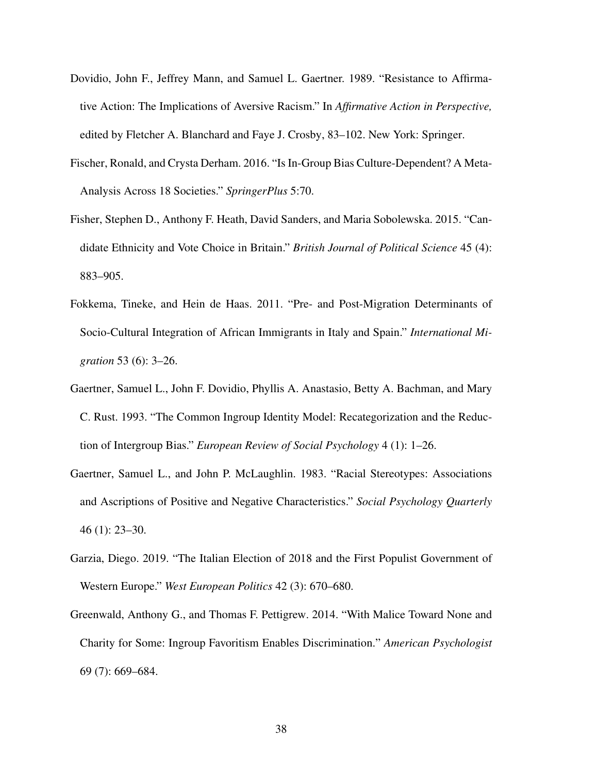- <span id="page-38-3"></span>Dovidio, John F., Jeffrey Mann, and Samuel L. Gaertner. 1989. "Resistance to Affirmative Action: The Implications of Aversive Racism." In *Affirmative Action in Perspective,* edited by Fletcher A. Blanchard and Faye J. Crosby, 83–102. New York: Springer.
- <span id="page-38-2"></span>Fischer, Ronald, and Crysta Derham. 2016. "Is In-Group Bias Culture-Dependent? A Meta-Analysis Across 18 Societies." *SpringerPlus* 5:70.
- <span id="page-38-0"></span>Fisher, Stephen D., Anthony F. Heath, David Sanders, and Maria Sobolewska. 2015. "Candidate Ethnicity and Vote Choice in Britain." *British Journal of Political Science* 45 (4): 883–905.
- <span id="page-38-6"></span>Fokkema, Tineke, and Hein de Haas. 2011. "Pre- and Post-Migration Determinants of Socio-Cultural Integration of African Immigrants in Italy and Spain." *International Migration* 53 (6): 3–26.
- <span id="page-38-5"></span>Gaertner, Samuel L., John F. Dovidio, Phyllis A. Anastasio, Betty A. Bachman, and Mary C. Rust. 1993. "The Common Ingroup Identity Model: Recategorization and the Reduction of Intergroup Bias." *European Review of Social Psychology* 4 (1): 1–26.
- <span id="page-38-4"></span>Gaertner, Samuel L., and John P. McLaughlin. 1983. "Racial Stereotypes: Associations and Ascriptions of Positive and Negative Characteristics." *Social Psychology Quarterly* 46 (1): 23–30.
- <span id="page-38-7"></span>Garzia, Diego. 2019. "The Italian Election of 2018 and the First Populist Government of Western Europe." *West European Politics* 42 (3): 670–680.
- <span id="page-38-1"></span>Greenwald, Anthony G., and Thomas F. Pettigrew. 2014. "With Malice Toward None and Charity for Some: Ingroup Favoritism Enables Discrimination." *American Psychologist* 69 (7): 669–684.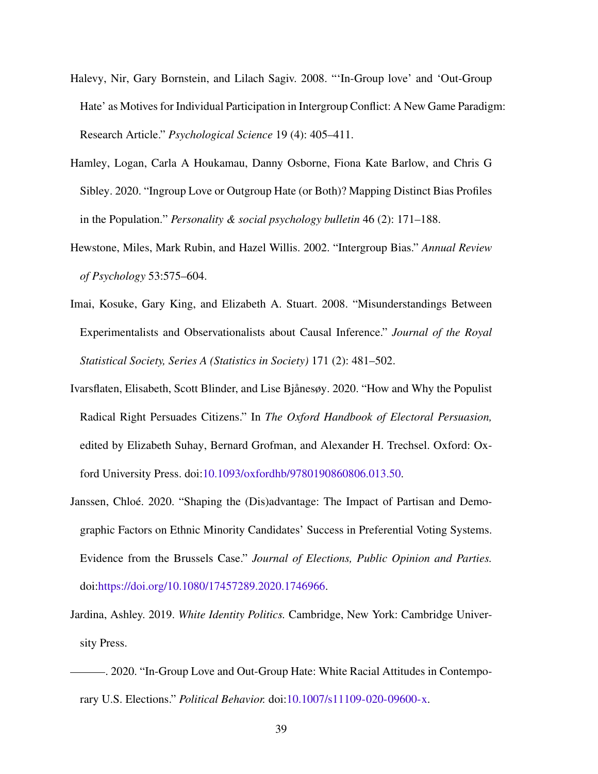- <span id="page-39-7"></span>Halevy, Nir, Gary Bornstein, and Lilach Sagiv. 2008. "'In-Group love' and 'Out-Group Hate' as Motives for Individual Participation in Intergroup Conflict: A New Game Paradigm: Research Article." *Psychological Science* 19 (4): 405–411.
- <span id="page-39-1"></span>Hamley, Logan, Carla A Houkamau, Danny Osborne, Fiona Kate Barlow, and Chris G Sibley. 2020. "Ingroup Love or Outgroup Hate (or Both)? Mapping Distinct Bias Profiles in the Population." *Personality & social psychology bulletin* 46 (2): 171–188.
- <span id="page-39-3"></span>Hewstone, Miles, Mark Rubin, and Hazel Willis. 2002. "Intergroup Bias." *Annual Review of Psychology* 53:575–604.
- <span id="page-39-6"></span>Imai, Kosuke, Gary King, and Elizabeth A. Stuart. 2008. "Misunderstandings Between Experimentalists and Observationalists about Causal Inference." *Journal of the Royal Statistical Society, Series A (Statistics in Society)* 171 (2): 481–502.
- <span id="page-39-5"></span>Ivarsflaten, Elisabeth, Scott Blinder, and Lise Bjanesøy. 2020. "How and Why the Populist ˚ Radical Right Persuades Citizens." In *The Oxford Handbook of Electoral Persuasion,* edited by Elizabeth Suhay, Bernard Grofman, and Alexander H. Trechsel. Oxford: Oxford University Press. doi[:10.1093/oxfordhb/9780190860806.013.50.](http://dx.doi.org/10.1093/oxfordhb/9780190860806.013.50)
- <span id="page-39-4"></span>Janssen, Chloé. 2020. "Shaping the (Dis)advantage: The Impact of Partisan and Demographic Factors on Ethnic Minority Candidates' Success in Preferential Voting Systems. Evidence from the Brussels Case." *Journal of Elections, Public Opinion and Parties.* doi[:https://doi.org/10.1080/17457289.2020.1746966.](http://dx.doi.org/https://doi.org/10.1080/17457289.2020.1746966)
- <span id="page-39-2"></span>Jardina, Ashley. 2019. *White Identity Politics.* Cambridge, New York: Cambridge University Press.
- <span id="page-39-0"></span>. 2020. "In-Group Love and Out-Group Hate: White Racial Attitudes in Contemporary U.S. Elections." *Political Behavior.* doi[:10.1007/s11109-020-09600-x.](http://dx.doi.org/10.1007/s11109-020-09600-x)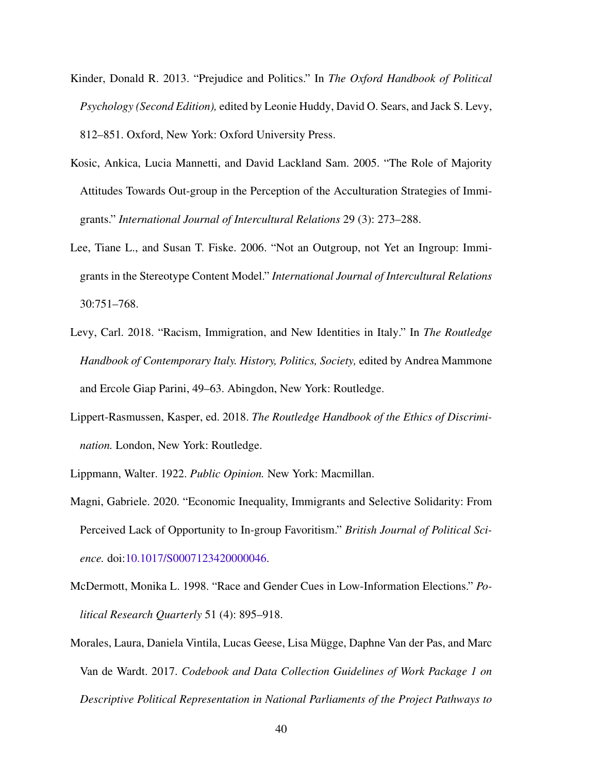- <span id="page-40-3"></span>Kinder, Donald R. 2013. "Prejudice and Politics." In *The Oxford Handbook of Political Psychology (Second Edition),* edited by Leonie Huddy, David O. Sears, and Jack S. Levy, 812–851. Oxford, New York: Oxford University Press.
- <span id="page-40-8"></span>Kosic, Ankica, Lucia Mannetti, and David Lackland Sam. 2005. "The Role of Majority Attitudes Towards Out-group in the Perception of the Acculturation Strategies of Immigrants." *International Journal of Intercultural Relations* 29 (3): 273–288.
- <span id="page-40-7"></span>Lee, Tiane L., and Susan T. Fiske. 2006. "Not an Outgroup, not Yet an Ingroup: Immigrants in the Stereotype Content Model." *International Journal of Intercultural Relations* 30:751–768.
- <span id="page-40-5"></span>Levy, Carl. 2018. "Racism, Immigration, and New Identities in Italy." In *The Routledge Handbook of Contemporary Italy. History, Politics, Society,* edited by Andrea Mammone and Ercole Giap Parini, 49–63. Abingdon, New York: Routledge.
- <span id="page-40-2"></span>Lippert-Rasmussen, Kasper, ed. 2018. *The Routledge Handbook of the Ethics of Discrimination.* London, New York: Routledge.
- <span id="page-40-4"></span><span id="page-40-1"></span>Lippmann, Walter. 1922. *Public Opinion.* New York: Macmillan.
- Magni, Gabriele. 2020. "Economic Inequality, Immigrants and Selective Solidarity: From Perceived Lack of Opportunity to In-group Favoritism." *British Journal of Political Science.* doi[:10.1017/S0007123420000046.](http://dx.doi.org/10.1017/S0007123420000046)
- <span id="page-40-0"></span>McDermott, Monika L. 1998. "Race and Gender Cues in Low-Information Elections." *Political Research Quarterly* 51 (4): 895–918.
- <span id="page-40-6"></span>Morales, Laura, Daniela Vintila, Lucas Geese, Lisa Mugge, Daphne Van der Pas, and Marc ¨ Van de Wardt. 2017. *Codebook and Data Collection Guidelines of Work Package 1 on Descriptive Political Representation in National Parliaments of the Project Pathways to*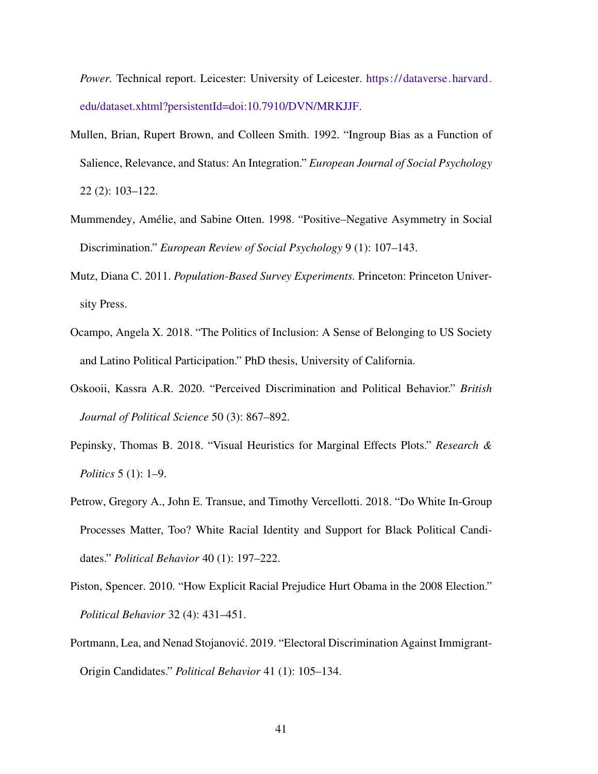*Power.* Technical report. Leicester: University of Leicester. [https://dataverse.harvard.](https://dataverse.harvard.edu/dataset.xhtml?persistentId=doi:10.7910/DVN/MRKJJF) [edu/dataset.xhtml?persistentId=doi:10.7910/DVN/MRKJJF.](https://dataverse.harvard.edu/dataset.xhtml?persistentId=doi:10.7910/DVN/MRKJJF)

- <span id="page-41-1"></span>Mullen, Brian, Rupert Brown, and Colleen Smith. 1992. "Ingroup Bias as a Function of Salience, Relevance, and Status: An Integration." *European Journal of Social Psychology* 22 (2): 103–122.
- <span id="page-41-5"></span>Mummendey, Amelie, and Sabine Otten. 1998. "Positive–Negative Asymmetry in Social ´ Discrimination." *European Review of Social Psychology* 9 (1): 107–143.
- <span id="page-41-6"></span>Mutz, Diana C. 2011. *Population-Based Survey Experiments.* Princeton: Princeton University Press.
- <span id="page-41-8"></span>Ocampo, Angela X. 2018. "The Politics of Inclusion: A Sense of Belonging to US Society and Latino Political Participation." PhD thesis, University of California.
- <span id="page-41-4"></span>Oskooii, Kassra A.R. 2020. "Perceived Discrimination and Political Behavior." *British Journal of Political Science* 50 (3): 867–892.
- <span id="page-41-7"></span>Pepinsky, Thomas B. 2018. "Visual Heuristics for Marginal Effects Plots." *Research & Politics* 5 (1): 1–9.
- <span id="page-41-2"></span>Petrow, Gregory A., John E. Transue, and Timothy Vercellotti. 2018. "Do White In-Group Processes Matter, Too? White Racial Identity and Support for Black Political Candidates." *Political Behavior* 40 (1): 197–222.
- <span id="page-41-3"></span>Piston, Spencer. 2010. "How Explicit Racial Prejudice Hurt Obama in the 2008 Election." *Political Behavior* 32 (4): 431–451.
- <span id="page-41-0"></span>Portmann, Lea, and Nenad Stojanovic. 2019. "Electoral Discrimination Against Immigrant- ´ Origin Candidates." *Political Behavior* 41 (1): 105–134.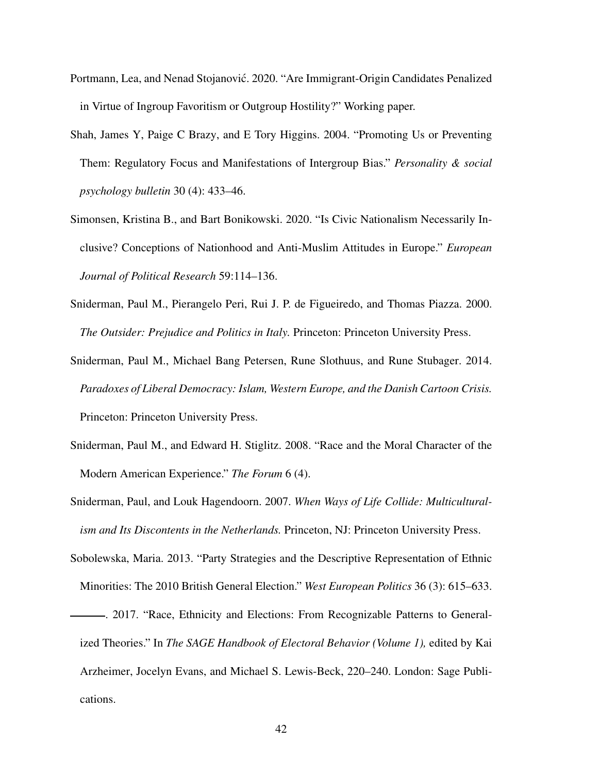- <span id="page-42-5"></span>Portmann, Lea, and Nenad Stojanović. 2020. "Are Immigrant-Origin Candidates Penalized in Virtue of Ingroup Favoritism or Outgroup Hostility?" Working paper.
- <span id="page-42-2"></span>Shah, James Y, Paige C Brazy, and E Tory Higgins. 2004. "Promoting Us or Preventing Them: Regulatory Focus and Manifestations of Intergroup Bias." *Personality & social psychology bulletin* 30 (4): 433–46.
- <span id="page-42-8"></span>Simonsen, Kristina B., and Bart Bonikowski. 2020. "Is Civic Nationalism Necessarily Inclusive? Conceptions of Nationhood and Anti-Muslim Attitudes in Europe." *European Journal of Political Research* 59:114–136.
- <span id="page-42-6"></span>Sniderman, Paul M., Pierangelo Peri, Rui J. P. de Figueiredo, and Thomas Piazza. 2000. *The Outsider: Prejudice and Politics in Italy.* Princeton: Princeton University Press.
- <span id="page-42-3"></span>Sniderman, Paul M., Michael Bang Petersen, Rune Slothuus, and Rune Stubager. 2014. *Paradoxes of Liberal Democracy: Islam, Western Europe, and the Danish Cartoon Crisis.* Princeton: Princeton University Press.
- <span id="page-42-4"></span>Sniderman, Paul M., and Edward H. Stiglitz. 2008. "Race and the Moral Character of the Modern American Experience." *The Forum* 6 (4).
- <span id="page-42-7"></span>Sniderman, Paul, and Louk Hagendoorn. 2007. *When Ways of Life Collide: Multiculturalism and Its Discontents in the Netherlands.* Princeton, NJ: Princeton University Press.
- <span id="page-42-0"></span>Sobolewska, Maria. 2013. "Party Strategies and the Descriptive Representation of Ethnic Minorities: The 2010 British General Election." *West European Politics* 36 (3): 615–633.
- <span id="page-42-1"></span>. 2017. "Race, Ethnicity and Elections: From Recognizable Patterns to Generalized Theories." In *The SAGE Handbook of Electoral Behavior (Volume 1),* edited by Kai Arzheimer, Jocelyn Evans, and Michael S. Lewis-Beck, 220–240. London: Sage Publications.